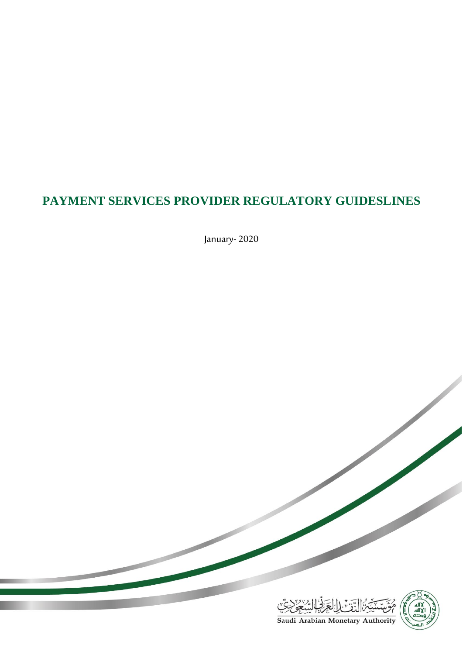# **PAYMENT SERVICES PROVIDER REGULATORY GUIDESLINES**

January- 2020



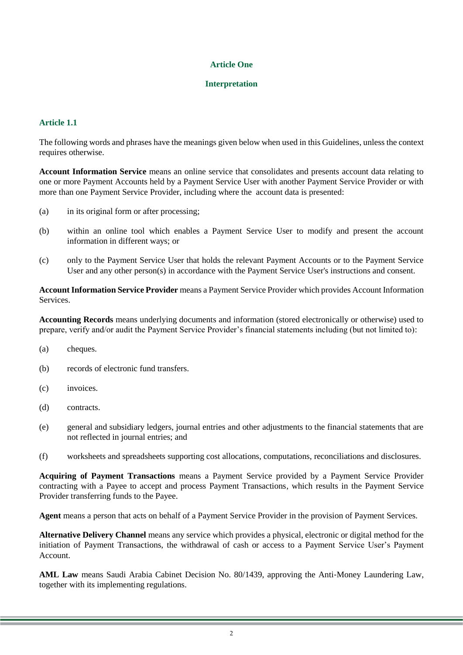## **Article One**

#### **Interpretation**

# **Article 1.1**

The following words and phrases have the meanings given below when used in this Guidelines, unless the context requires otherwise.

**Account Information Service** means an online service that consolidates and presents account data relating to one or more Payment Accounts held by a Payment Service User with another Payment Service Provider or with more than one Payment Service Provider, including where the account data is presented:

- (a) in its original form or after processing;
- (b) within an online tool which enables a Payment Service User to modify and present the account information in different ways; or
- (c) only to the Payment Service User that holds the relevant Payment Accounts or to the Payment Service User and any other person(s) in accordance with the Payment Service User's instructions and consent.

**Account Information Service Provider** means a Payment Service Provider which provides Account Information **Services** 

**Accounting Records** means underlying documents and information (stored electronically or otherwise) used to prepare, verify and/or audit the Payment Service Provider's financial statements including (but not limited to):

- (a) cheques.
- (b) records of electronic fund transfers.
- (c) invoices.
- (d) contracts.
- (e) general and subsidiary ledgers, journal entries and other adjustments to the financial statements that are not reflected in journal entries; and
- (f) worksheets and spreadsheets supporting cost allocations, computations, reconciliations and disclosures.

**Acquiring of Payment Transactions** means a Payment Service provided by a Payment Service Provider contracting with a Payee to accept and process Payment Transactions, which results in the Payment Service Provider transferring funds to the Payee.

**Agent** means a person that acts on behalf of a Payment Service Provider in the provision of Payment Services.

**Alternative Delivery Channel** means any service which provides a physical, electronic or digital method for the initiation of Payment Transactions, the withdrawal of cash or access to a Payment Service User's Payment Account.

**AML Law** means Saudi Arabia Cabinet Decision No. 80/1439, approving the Anti-Money Laundering Law, together with its implementing regulations.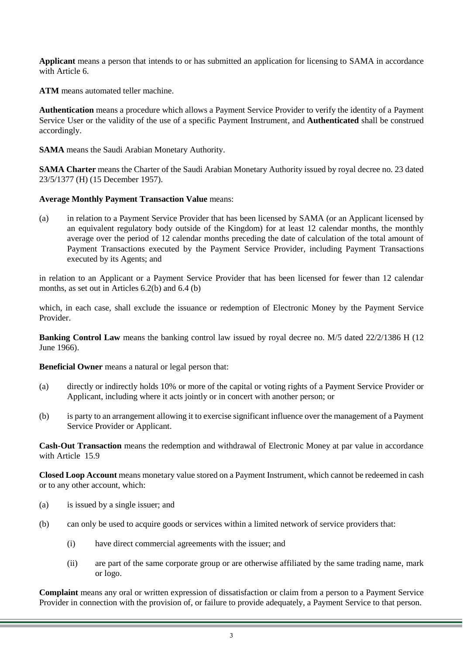**Applicant** means a person that intends to or has submitted an application for licensing to SAMA in accordance with Article 6

**ATM** means automated teller machine.

**Authentication** means a procedure which allows a Payment Service Provider to verify the identity of a Payment Service User or the validity of the use of a specific Payment Instrument, and **Authenticated** shall be construed accordingly.

**SAMA** means the Saudi Arabian Monetary Authority.

**SAMA Charter** means the Charter of the Saudi Arabian Monetary Authority issued by royal decree no. 23 dated 23/5/1377 (H) (15 December 1957).

**Average Monthly Payment Transaction Value** means:

(a) in relation to a Payment Service Provider that has been licensed by SAMA (or an Applicant licensed by an equivalent regulatory body outside of the Kingdom) for at least 12 calendar months, the monthly average over the period of 12 calendar months preceding the date of calculation of the total amount of Payment Transactions executed by the Payment Service Provider, including Payment Transactions executed by its Agents; and

in relation to an Applicant or a Payment Service Provider that has been licensed for fewer than 12 calendar months, as set out in Articles 6.2(b) and 6.4 (b)

which, in each case, shall exclude the issuance or redemption of Electronic Money by the Payment Service Provider.

**Banking Control Law** means the banking control law issued by royal decree no. M/5 dated 22/2/1386 H (12) June 1966).

**Beneficial Owner** means a natural or legal person that:

- (a) directly or indirectly holds 10% or more of the capital or voting rights of a Payment Service Provider or Applicant, including where it acts jointly or in concert with another person; or
- (b) is party to an arrangement allowing it to exercise significant influence over the management of a Payment Service Provider or Applicant.

**Cash-Out Transaction** means the redemption and withdrawal of Electronic Money at par value in accordance with Article 15.9

**Closed Loop Account** means monetary value stored on a Payment Instrument, which cannot be redeemed in cash or to any other account, which:

- (a) is issued by a single issuer; and
- (b) can only be used to acquire goods or services within a limited network of service providers that:
	- (i) have direct commercial agreements with the issuer; and
	- (ii) are part of the same corporate group or are otherwise affiliated by the same trading name, mark or logo.

**Complaint** means any oral or written expression of dissatisfaction or claim from a person to a Payment Service Provider in connection with the provision of, or failure to provide adequately, a Payment Service to that person.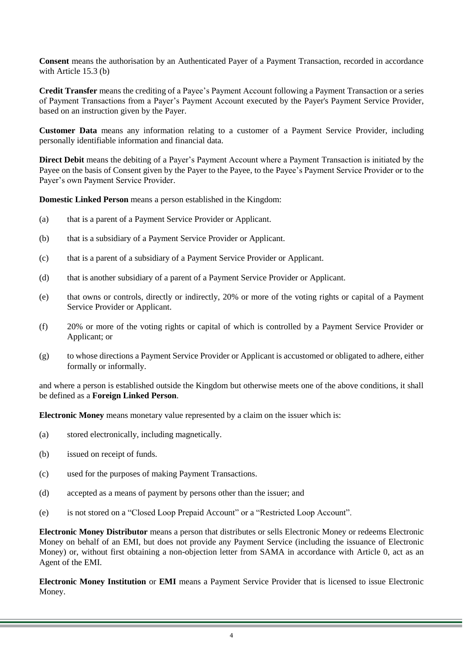**Consent** means the authorisation by an Authenticated Payer of a Payment Transaction, recorded in accordance with Article 15.3 (b)

**Credit Transfer** means the crediting of a Payee's Payment Account following a Payment Transaction or a series of Payment Transactions from a Payer's Payment Account executed by the Payer's Payment Service Provider, based on an instruction given by the Payer.

**Customer Data** means any information relating to a customer of a Payment Service Provider, including personally identifiable information and financial data.

**Direct Debit** means the debiting of a Payer's Payment Account where a Payment Transaction is initiated by the Payee on the basis of Consent given by the Payer to the Payee, to the Payee's Payment Service Provider or to the Payer's own Payment Service Provider.

**Domestic Linked Person** means a person established in the Kingdom:

- (a) that is a parent of a Payment Service Provider or Applicant.
- (b) that is a subsidiary of a Payment Service Provider or Applicant.
- (c) that is a parent of a subsidiary of a Payment Service Provider or Applicant.
- (d) that is another subsidiary of a parent of a Payment Service Provider or Applicant.
- (e) that owns or controls, directly or indirectly, 20% or more of the voting rights or capital of a Payment Service Provider or Applicant.
- (f) 20% or more of the voting rights or capital of which is controlled by a Payment Service Provider or Applicant; or
- (g) to whose directions a Payment Service Provider or Applicant is accustomed or obligated to adhere, either formally or informally.

and where a person is established outside the Kingdom but otherwise meets one of the above conditions, it shall be defined as a **Foreign Linked Person**.

**Electronic Money** means monetary value represented by a claim on the issuer which is:

- (a) stored electronically, including magnetically.
- (b) issued on receipt of funds.
- (c) used for the purposes of making Payment Transactions.
- (d) accepted as a means of payment by persons other than the issuer; and
- (e) is not stored on a "Closed Loop Prepaid Account" or a "Restricted Loop Account".

**Electronic Money Distributor** means a person that distributes or sells Electronic Money or redeems Electronic Money on behalf of an EMI, but does not provide any Payment Service (including the issuance of Electronic Money) or, without first obtaining a non-objection letter from SAMA in accordance with Article [0,](#page-42-0) act as an Agent of the EMI.

**Electronic Money Institution** or **EMI** means a Payment Service Provider that is licensed to issue Electronic Money.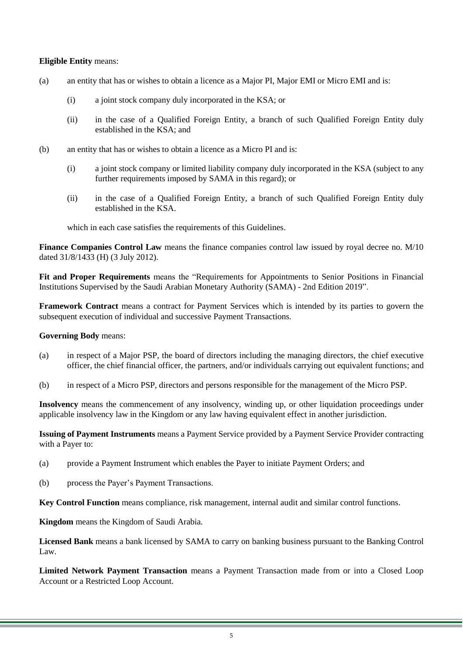#### **Eligible Entity** means:

- (a) an entity that has or wishes to obtain a licence as a Major PI, Major EMI or Micro EMI and is:
	- (i) a joint stock company duly incorporated in the KSA; or
	- (ii) in the case of a Qualified Foreign Entity, a branch of such Qualified Foreign Entity duly established in the KSA; and
- (b) an entity that has or wishes to obtain a licence as a Micro PI and is:
	- (i) a joint stock company or limited liability company duly incorporated in the KSA (subject to any further requirements imposed by SAMA in this regard); or
	- (ii) in the case of a Qualified Foreign Entity, a branch of such Qualified Foreign Entity duly established in the KSA.

which in each case satisfies the requirements of this Guidelines.

**Finance Companies Control Law** means the finance companies control law issued by royal decree no. M/10 dated 31/8/1433 (H) (3 July 2012).

**Fit and Proper Requirements** means the "Requirements for Appointments to Senior Positions in Financial Institutions Supervised by the Saudi Arabian Monetary Authority (SAMA) - 2nd Edition 2019".

**Framework Contract** means a contract for Payment Services which is intended by its parties to govern the subsequent execution of individual and successive Payment Transactions.

#### **Governing Body** means:

- (a) in respect of a Major PSP, the board of directors including the managing directors, the chief executive officer, the chief financial officer, the partners, and/or individuals carrying out equivalent functions; and
- (b) in respect of a Micro PSP, directors and persons responsible for the management of the Micro PSP.

**Insolvency** means the commencement of any insolvency, winding up, or other liquidation proceedings under applicable insolvency law in the Kingdom or any law having equivalent effect in another jurisdiction.

**Issuing of Payment Instruments** means a Payment Service provided by a Payment Service Provider contracting with a Payer to:

- (a) provide a Payment Instrument which enables the Payer to initiate Payment Orders; and
- (b) process the Payer's Payment Transactions.

**Key Control Function** means compliance, risk management, internal audit and similar control functions.

**Kingdom** means the Kingdom of Saudi Arabia.

**Licensed Bank** means a bank licensed by SAMA to carry on banking business pursuant to the Banking Control Law.

**Limited Network Payment Transaction** means a Payment Transaction made from or into a Closed Loop Account or a Restricted Loop Account.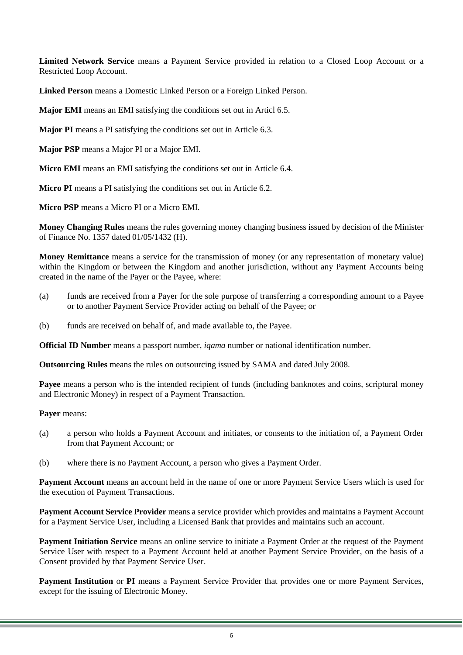**Limited Network Service** means a Payment Service provided in relation to a Closed Loop Account or a Restricted Loop Account.

**Linked Person** means a Domestic Linked Person or a Foreign Linked Person.

**Major EMI** means an EMI satisfying the conditions set out in Articl 6.5.

**Major PI** means a PI satisfying the conditions set out in Article 6.3.

**Major PSP** means a Major PI or a Major EMI.

**Micro EMI** means an EMI satisfying the conditions set out in Article 6.4.

**Micro PI** means a PI satisfying the conditions set out in Article 6.2.

**Micro PSP** means a Micro PI or a Micro EMI.

**Money Changing Rules** means the rules governing money changing business issued by decision of the Minister of Finance No. 1357 dated 01/05/1432 (H).

**Money Remittance** means a service for the transmission of money (or any representation of monetary value) within the Kingdom or between the Kingdom and another jurisdiction, without any Payment Accounts being created in the name of the Payer or the Payee, where:

- (a) funds are received from a Payer for the sole purpose of transferring a corresponding amount to a Payee or to another Payment Service Provider acting on behalf of the Payee; or
- (b) funds are received on behalf of, and made available to, the Payee.

**Official ID Number** means a passport number, *iqama* number or national identification number.

**Outsourcing Rules** means the rules on outsourcing issued by SAMA and dated July 2008.

**Payee** means a person who is the intended recipient of funds (including banknotes and coins, scriptural money and Electronic Money) in respect of a Payment Transaction.

**Payer** means:

- (a) a person who holds a Payment Account and initiates, or consents to the initiation of, a Payment Order from that Payment Account; or
- (b) where there is no Payment Account, a person who gives a Payment Order.

**Payment Account** means an account held in the name of one or more Payment Service Users which is used for the execution of Payment Transactions.

**Payment Account Service Provider** means a service provider which provides and maintains a Payment Account for a Payment Service User, including a Licensed Bank that provides and maintains such an account.

**Payment Initiation Service** means an online service to initiate a Payment Order at the request of the Payment Service User with respect to a Payment Account held at another Payment Service Provider, on the basis of a Consent provided by that Payment Service User.

**Payment Institution** or **PI** means a Payment Service Provider that provides one or more Payment Services, except for the issuing of Electronic Money.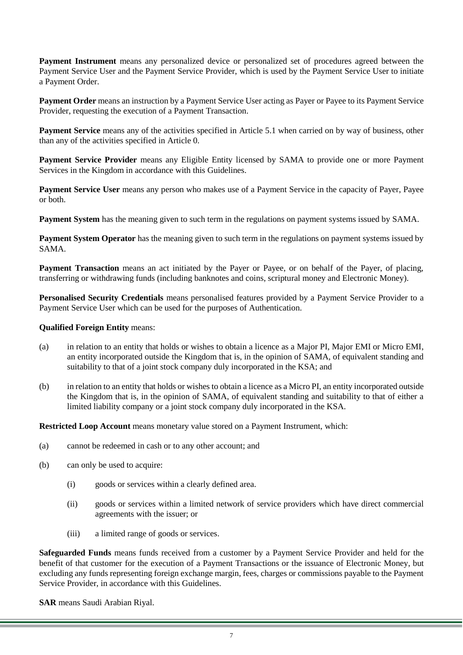**Payment Instrument** means any personalized device or personalized set of procedures agreed between the Payment Service User and the Payment Service Provider, which is used by the Payment Service User to initiate a Payment Order.

**Payment Order** means an instruction by a Payment Service User acting as Payer or Payee to its Payment Service Provider, requesting the execution of a Payment Transaction.

**Payment Service** means any of the activities specified in Article 5.1 when carried on by way of business, other than any of the activities specified in Article [0.](#page-11-0)

**Payment Service Provider** means any Eligible Entity licensed by SAMA to provide one or more Payment Services in the Kingdom in accordance with this Guidelines.

**Payment Service User** means any person who makes use of a Payment Service in the capacity of Payer, Payee or both.

**Payment System** has the meaning given to such term in the regulations on payment systems issued by SAMA.

**Payment System Operator** has the meaning given to such term in the regulations on payment systems issued by SAMA.

**Payment Transaction** means an act initiated by the Payer or Payee, or on behalf of the Payer, of placing, transferring or withdrawing funds (including banknotes and coins, scriptural money and Electronic Money).

**Personalised Security Credentials** means personalised features provided by a Payment Service Provider to a Payment Service User which can be used for the purposes of Authentication.

#### **Qualified Foreign Entity** means:

- (a) in relation to an entity that holds or wishes to obtain a licence as a Major PI, Major EMI or Micro EMI, an entity incorporated outside the Kingdom that is, in the opinion of SAMA, of equivalent standing and suitability to that of a joint stock company duly incorporated in the KSA; and
- (b) in relation to an entity that holds or wishes to obtain a licence as a Micro PI, an entity incorporated outside the Kingdom that is, in the opinion of SAMA, of equivalent standing and suitability to that of either a limited liability company or a joint stock company duly incorporated in the KSA.

**Restricted Loop Account** means monetary value stored on a Payment Instrument, which:

- (a) cannot be redeemed in cash or to any other account; and
- (b) can only be used to acquire:
	- (i) goods or services within a clearly defined area.
	- (ii) goods or services within a limited network of service providers which have direct commercial agreements with the issuer; or
	- (iii) a limited range of goods or services.

**Safeguarded Funds** means funds received from a customer by a Payment Service Provider and held for the benefit of that customer for the execution of a Payment Transactions or the issuance of Electronic Money, but excluding any funds representing foreign exchange margin, fees, charges or commissions payable to the Payment Service Provider, in accordance with this Guidelines.

**SAR** means Saudi Arabian Riyal.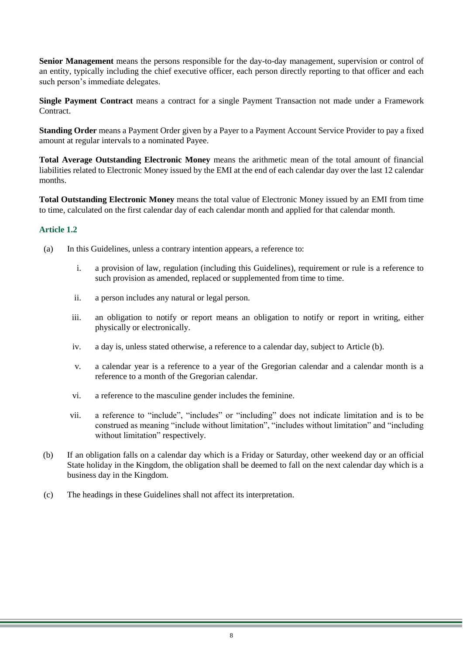**Senior Management** means the persons responsible for the day-to-day management, supervision or control of an entity, typically including the chief executive officer, each person directly reporting to that officer and each such person's immediate delegates.

**Single Payment Contract** means a contract for a single Payment Transaction not made under a Framework Contract.

**Standing Order** means a Payment Order given by a Payer to a Payment Account Service Provider to pay a fixed amount at regular intervals to a nominated Payee.

**Total Average Outstanding Electronic Money** means the arithmetic mean of the total amount of financial liabilities related to Electronic Money issued by the EMI at the end of each calendar day over the last 12 calendar months.

**Total Outstanding Electronic Money** means the total value of Electronic Money issued by an EMI from time to time, calculated on the first calendar day of each calendar month and applied for that calendar month.

- (a) In this Guidelines, unless a contrary intention appears, a reference to:
	- i. a provision of law, regulation (including this Guidelines), requirement or rule is a reference to such provision as amended, replaced or supplemented from time to time.
	- ii. a person includes any natural or legal person.
	- iii. an obligation to notify or report means an obligation to notify or report in writing, either physically or electronically.
	- iv. a day is, unless stated otherwise, a reference to a calendar day, subject to Article [\(b\).](#page-7-0)
	- v. a calendar year is a reference to a year of the Gregorian calendar and a calendar month is a reference to a month of the Gregorian calendar.
	- vi. a reference to the masculine gender includes the feminine.
	- vii. a reference to "include", "includes" or "including" does not indicate limitation and is to be construed as meaning "include without limitation", "includes without limitation" and "including without limitation" respectively.
- <span id="page-7-0"></span>(b) If an obligation falls on a calendar day which is a Friday or Saturday, other weekend day or an official State holiday in the Kingdom, the obligation shall be deemed to fall on the next calendar day which is a business day in the Kingdom.
- (c) The headings in these Guidelines shall not affect its interpretation.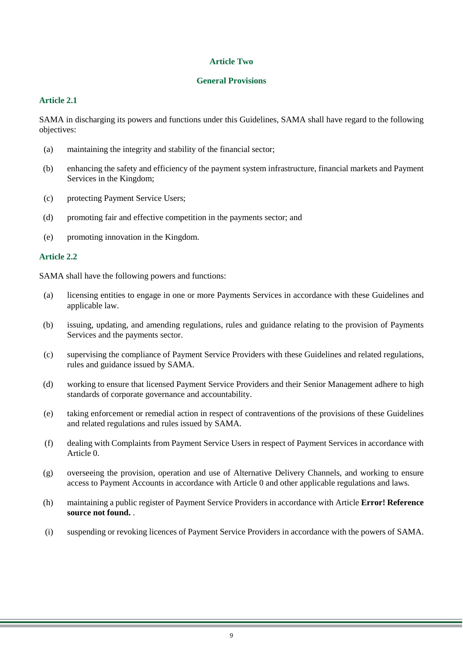#### **Article Two**

#### **General Provisions**

# **Article 2.1**

SAMA in discharging its powers and functions under this Guidelines, SAMA shall have regard to the following objectives:

- (a) maintaining the integrity and stability of the financial sector;
- (b) enhancing the safety and efficiency of the payment system infrastructure, financial markets and Payment Services in the Kingdom;
- (c) protecting Payment Service Users;
- (d) promoting fair and effective competition in the payments sector; and
- (e) promoting innovation in the Kingdom.

## **Article 2.2**

SAMA shall have the following powers and functions:

- (a) licensing entities to engage in one or more Payments Services in accordance with these Guidelines and applicable law.
- (b) issuing, updating, and amending regulations, rules and guidance relating to the provision of Payments Services and the payments sector.
- (c) supervising the compliance of Payment Service Providers with these Guidelines and related regulations, rules and guidance issued by SAMA.
- (d) working to ensure that licensed Payment Service Providers and their Senior Management adhere to high standards of corporate governance and accountability.
- (e) taking enforcement or remedial action in respect of contraventions of the provisions of these Guidelines and related regulations and rules issued by SAMA.
- (f) dealing with Complaints from Payment Service Users in respect of Payment Services in accordance with Article [0.](#page-31-0)
- (g) overseeing the provision, operation and use of Alternative Delivery Channels, and working to ensure access to Payment Accounts in accordance with Article [0](#page-46-0) and other applicable regulations and laws.
- (h) maintaining a public register of Payment Service Providers in accordance with Article **Error! Reference source not found.** .
- (i) suspending or revoking licences of Payment Service Providers in accordance with the powers of SAMA.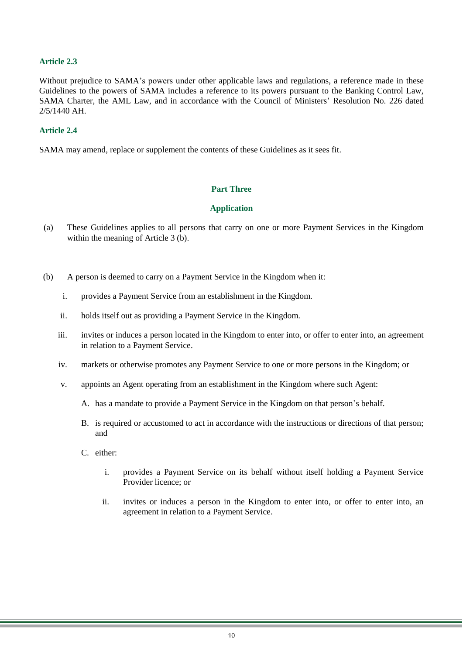## **Article 2.3**

Without prejudice to SAMA's powers under other applicable laws and regulations, a reference made in these Guidelines to the powers of SAMA includes a reference to its powers pursuant to the Banking Control Law, SAMA Charter, the AML Law, and in accordance with the Council of Ministers' Resolution No. 226 dated 2/5/1440 AH.

#### **Article 2.4**

SAMA may amend, replace or supplement the contents of these Guidelines as it sees fit.

#### **Part Three**

#### **Application**

- (a) These Guidelines applies to all persons that carry on one or more Payment Services in the Kingdom within the meaning of Article 3 (b).
- (b) A person is deemed to carry on a Payment Service in the Kingdom when it:
	- i. provides a Payment Service from an establishment in the Kingdom.
	- ii. holds itself out as providing a Payment Service in the Kingdom.
	- iii. invites or induces a person located in the Kingdom to enter into, or offer to enter into, an agreement in relation to a Payment Service.
	- iv. markets or otherwise promotes any Payment Service to one or more persons in the Kingdom; or
	- v. appoints an Agent operating from an establishment in the Kingdom where such Agent:
		- A. has a mandate to provide a Payment Service in the Kingdom on that person's behalf.
		- B. is required or accustomed to act in accordance with the instructions or directions of that person; and
		- C. either:
			- i. provides a Payment Service on its behalf without itself holding a Payment Service Provider licence; or
			- ii. invites or induces a person in the Kingdom to enter into, or offer to enter into, an agreement in relation to a Payment Service.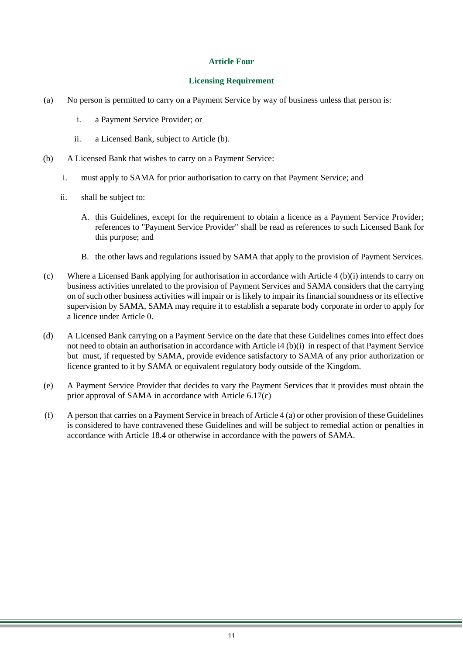#### **Article Four**

#### **Licensing Requirement**

- (a) No person is permitted to carry on a Payment Service by way of business unless that person is:
	- i. a Payment Service Provider; or
	- ii. a Licensed Bank, subject to Article [\(b\).](#page-10-0)
- <span id="page-10-1"></span><span id="page-10-0"></span>(b) A Licensed Bank that wishes to carry on a Payment Service:
	- i. must apply to SAMA for prior authorisation to carry on that Payment Service; and
	- ii. shall be subject to:
		- A. this Guidelines, except for the requirement to obtain a licence as a Payment Service Provider; references to "Payment Service Provider" shall be read as references to such Licensed Bank for this purpose; and
		- B. the other laws and regulations issued by SAMA that apply to the provision of Payment Services.
- (c) Where a Licensed Bank applying for authorisation in accordance with Article 4 (b)(i) intends to carry on business activities unrelated to the provision of Payment Services and SAMA considers that the carrying on of such other business activities will impair or is likely to impair its financial soundness or its effective supervision by SAMA, SAMA may require it to establish a separate body corporate in order to apply for a licence under Article [0.](#page-12-0)
- (d) A Licensed Bank carrying on a Payment Service on the date that these Guidelines comes into effect does not need to obtain an authorisation in accordance with Article [i4](#page-10-1) (b)(i) in respect of that Payment Service but must, if requested by SAMA, provide evidence satisfactory to SAMA of any prior authorization or licence granted to it by SAMA or equivalent regulatory body outside of the Kingdom.
- (e) A Payment Service Provider that decides to vary the Payment Services that it provides must obtain the prior approval of SAMA in accordance with Article 6.17(c)
- (f) A person that carries on a Payment Service in breach of Article 4 (a) or other provision of these Guidelines is considered to have contravened these Guidelines and will be subject to remedial action or penalties in accordance with Article 18.4 or otherwise in accordance with the powers of SAMA.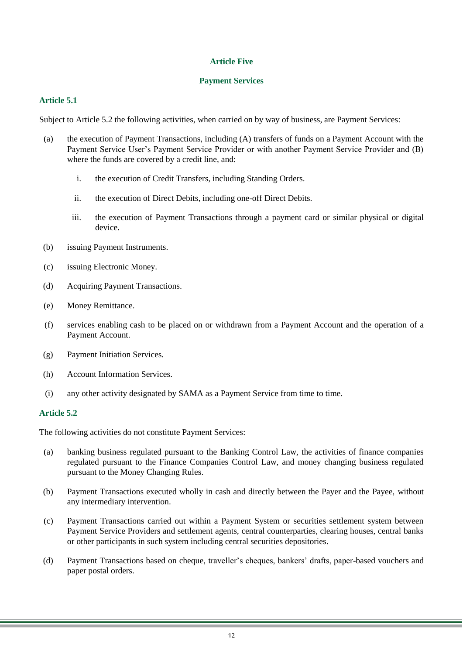# **Article Five**

#### **Payment Services**

## **Article 5.1**

Subject to Article 5.2 the following activities, when carried on by way of business, are Payment Services:

- (a) the execution of Payment Transactions, including (A) transfers of funds on a Payment Account with the Payment Service User's Payment Service Provider or with another Payment Service Provider and (B) where the funds are covered by a credit line, and:
	- i. the execution of Credit Transfers, including Standing Orders.
	- ii. the execution of Direct Debits, including one-off Direct Debits.
	- iii. the execution of Payment Transactions through a payment card or similar physical or digital device.
- (b) issuing Payment Instruments.
- (c) issuing Electronic Money.
- (d) Acquiring Payment Transactions.
- (e) Money Remittance.
- (f) services enabling cash to be placed on or withdrawn from a Payment Account and the operation of a Payment Account.
- (g) Payment Initiation Services.
- (h) Account Information Services.
- (i) any other activity designated by SAMA as a Payment Service from time to time.

#### <span id="page-11-0"></span>**Article 5.2**

The following activities do not constitute Payment Services:

- (a) banking business regulated pursuant to the Banking Control Law, the activities of finance companies regulated pursuant to the Finance Companies Control Law, and money changing business regulated pursuant to the Money Changing Rules.
- (b) Payment Transactions executed wholly in cash and directly between the Payer and the Payee, without any intermediary intervention.
- (c) Payment Transactions carried out within a Payment System or securities settlement system between Payment Service Providers and settlement agents, central counterparties, clearing houses, central banks or other participants in such system including central securities depositories.
- (d) Payment Transactions based on cheque, traveller's cheques, bankers' drafts, paper-based vouchers and paper postal orders.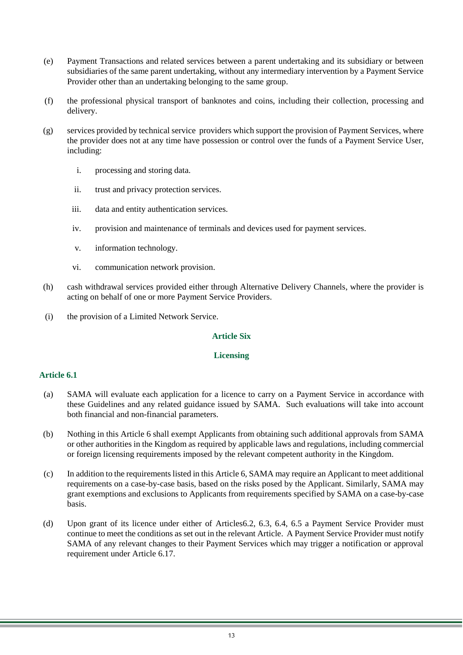- (e) Payment Transactions and related services between a parent undertaking and its subsidiary or between subsidiaries of the same parent undertaking, without any intermediary intervention by a Payment Service Provider other than an undertaking belonging to the same group.
- (f) the professional physical transport of banknotes and coins, including their collection, processing and delivery.
- (g) services provided by technical service providers which support the provision of Payment Services, where the provider does not at any time have possession or control over the funds of a Payment Service User, including:
	- i. processing and storing data.
	- ii. trust and privacy protection services.
	- iii. data and entity authentication services.
	- iv. provision and maintenance of terminals and devices used for payment services.
	- v. information technology.
	- vi. communication network provision.
- (h) cash withdrawal services provided either through Alternative Delivery Channels, where the provider is acting on behalf of one or more Payment Service Providers.
- <span id="page-12-0"></span>(i) the provision of a Limited Network Service.

# **Article Six**

# **Licensing**

- (a) SAMA will evaluate each application for a licence to carry on a Payment Service in accordance with these Guidelines and any related guidance issued by SAMA. Such evaluations will take into account both financial and non-financial parameters.
- (b) Nothing in this Article 6 shall exempt Applicants from obtaining such additional approvals from SAMA or other authorities in the Kingdom as required by applicable laws and regulations, including commercial or foreign licensing requirements imposed by the relevant competent authority in the Kingdom.
- (c) In addition to the requirements listed in this Article 6, SAMA may require an Applicant to meet additional requirements on a case-by-case basis, based on the risks posed by the Applicant. Similarly, SAMA may grant exemptions and exclusions to Applicants from requirements specified by SAMA on a case-by-case basis.
- (d) Upon grant of its licence under either of Articles6.2, 6.3, 6.4, 6.5 a Payment Service Provider must continue to meet the conditions as set out in the relevant Article. A Payment Service Provider must notify SAMA of any relevant changes to their Payment Services which may trigger a notification or approval requirement under Article 6.17.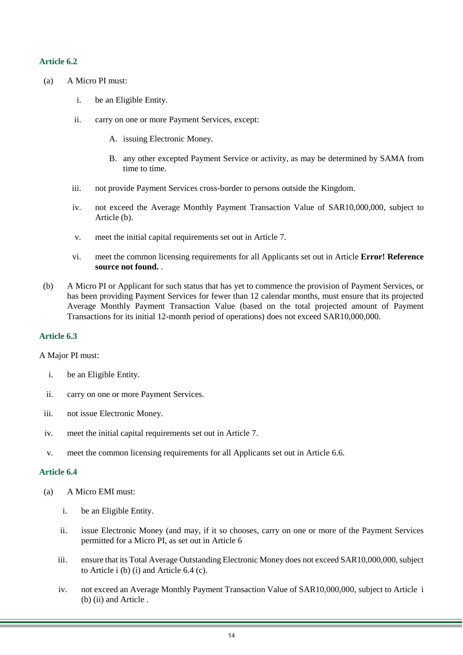- (a) A Micro PI must:
	- i. be an Eligible Entity.
	- ii. carry on one or more Payment Services, except:
		- A. issuing Electronic Money.
		- B. any other excepted Payment Service or activity, as may be determined by SAMA from time to time.
	- iii. not provide Payment Services cross-border to persons outside the Kingdom.
	- iv. not exceed the Average Monthly Payment Transaction Value of SAR10,000,000, subject to Article [\(b\).](#page-13-0)
	- v. meet the initial capital requirements set out in Article 7.
	- vi. meet the common licensing requirements for all Applicants set out in Article **Error! Reference source not found.** .
- <span id="page-13-0"></span>(b) A Micro PI or Applicant for such status that has yet to commence the provision of Payment Services, or has been providing Payment Services for fewer than 12 calendar months, must ensure that its projected Average Monthly Payment Transaction Value (based on the total projected amount of Payment Transactions for its initial 12-month period of operations) does not exceed SAR10,000,000.

# **Article 6.3**

#### A Major PI must:

- i. be an Eligible Entity.
- ii. carry on one or more Payment Services.
- iii. not issue Electronic Money.
- iv. meet the initial capital requirements set out in Article 7.
- v. meet the common licensing requirements for all Applicants set out in Article 6.6.

- (a) A Micro EMI must:
	- i. be an Eligible Entity.
	- ii. issue Electronic Money (and may, if it so chooses, carry on one or more of the Payment Services permitted for a Micro PI, as set out in Article 6
	- iii. ensure that its Total Average Outstanding Electronic Money does not exceed SAR10,000,000, subject to Article [i](#page-14-0) (b) (i) and Article 6.4 (c).
	- iv. not exceed an Average Monthly Payment Transaction Value of SAR10,000,000, subject to Article [i](#page-14-0) (b) (ii) and Article.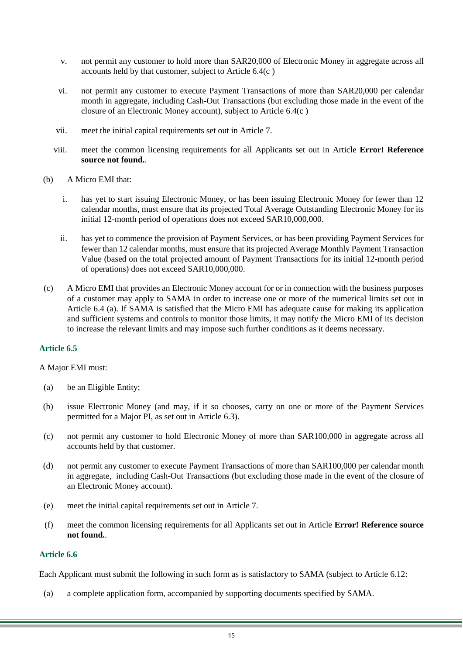- v. not permit any customer to hold more than SAR20,000 of Electronic Money in aggregate across all accounts held by that customer, subject to Article 6.4(c )
- vi. not permit any customer to execute Payment Transactions of more than SAR20,000 per calendar month in aggregate, including Cash-Out Transactions (but excluding those made in the event of the closure of an Electronic Money account), subject to Article 6.4(c )
- vii. meet the initial capital requirements set out in Article 7.
- viii. meet the common licensing requirements for all Applicants set out in Article **Error! Reference source not found.**.
- <span id="page-14-0"></span>(b) A Micro EMI that:
	- i. has yet to start issuing Electronic Money, or has been issuing Electronic Money for fewer than 12 calendar months, must ensure that its projected Total Average Outstanding Electronic Money for its initial 12-month period of operations does not exceed SAR10,000,000.
	- ii. has yet to commence the provision of Payment Services, or has been providing Payment Services for fewer than 12 calendar months, must ensure that its projected Average Monthly Payment Transaction Value (based on the total projected amount of Payment Transactions for its initial 12-month period of operations) does not exceed SAR10,000,000.
- (c) A Micro EMI that provides an Electronic Money account for or in connection with the business purposes of a customer may apply to SAMA in order to increase one or more of the numerical limits set out in Article 6.4 (a). If SAMA is satisfied that the Micro EMI has adequate cause for making its application and sufficient systems and controls to monitor those limits, it may notify the Micro EMI of its decision to increase the relevant limits and may impose such further conditions as it deems necessary.

#### A Major EMI must:

- (a) be an Eligible Entity;
- (b) issue Electronic Money (and may, if it so chooses, carry on one or more of the Payment Services permitted for a Major PI, as set out in Article 6.3).
- (c) not permit any customer to hold Electronic Money of more than SAR100,000 in aggregate across all accounts held by that customer.
- (d) not permit any customer to execute Payment Transactions of more than SAR100,000 per calendar month in aggregate, including Cash-Out Transactions (but excluding those made in the event of the closure of an Electronic Money account).
- (e) meet the initial capital requirements set out in Article 7.
- (f) meet the common licensing requirements for all Applicants set out in Article **Error! Reference source not found.**.

## **Article 6.6**

Each Applicant must submit the following in such form as is satisfactory to SAMA (subject to Article 6.12:

(a) a complete application form, accompanied by supporting documents specified by SAMA.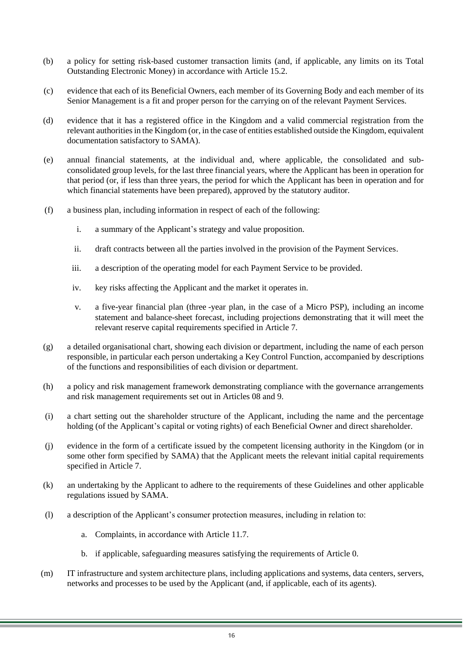- (b) a policy for setting risk-based customer transaction limits (and, if applicable, any limits on its Total Outstanding Electronic Money) in accordance with Article 15.2.
- (c) evidence that each of its Beneficial Owners, each member of its Governing Body and each member of its Senior Management is a fit and proper person for the carrying on of the relevant Payment Services.
- (d) evidence that it has a registered office in the Kingdom and a valid commercial registration from the relevant authorities in the Kingdom (or, in the case of entities established outside the Kingdom, equivalent documentation satisfactory to SAMA).
- (e) annual financial statements, at the individual and, where applicable, the consolidated and subconsolidated group levels, for the last three financial years, where the Applicant has been in operation for that period (or, if less than three years, the period for which the Applicant has been in operation and for which financial statements have been prepared), approved by the statutory auditor.
- (f) a business plan, including information in respect of each of the following:
	- i. a summary of the Applicant's strategy and value proposition.
	- ii. draft contracts between all the parties involved in the provision of the Payment Services.
	- iii. a description of the operating model for each Payment Service to be provided.
	- iv. key risks affecting the Applicant and the market it operates in.
	- v. a five-year financial plan (three -year plan, in the case of a Micro PSP), including an income statement and balance-sheet forecast, including projections demonstrating that it will meet the relevant reserve capital requirements specified in Article 7.
- (g) a detailed organisational chart, showing each division or department, including the name of each person responsible, in particular each person undertaking a Key Control Function, accompanied by descriptions of the functions and responsibilities of each division or department.
- (h) a policy and risk management framework demonstrating compliance with the governance arrangements and risk management requirements set out in Articles [08](#page-24-0) and 9.
- (i) a chart setting out the shareholder structure of the Applicant, including the name and the percentage holding (of the Applicant's capital or voting rights) of each Beneficial Owner and direct shareholder.
- (j) evidence in the form of a certificate issued by the competent licensing authority in the Kingdom (or in some other form specified by SAMA) that the Applicant meets the relevant initial capital requirements specified in Article 7.
- (k) an undertaking by the Applicant to adhere to the requirements of these Guidelines and other applicable regulations issued by SAMA.
- (l) a description of the Applicant's consumer protection measures, including in relation to:
	- a. Complaints, in accordance with Article 11.7.
	- b. if applicable, safeguarding measures satisfying the requirements of Article [0.](#page-37-0)
- (m) IT infrastructure and system architecture plans, including applications and systems, data centers, servers, networks and processes to be used by the Applicant (and, if applicable, each of its agents).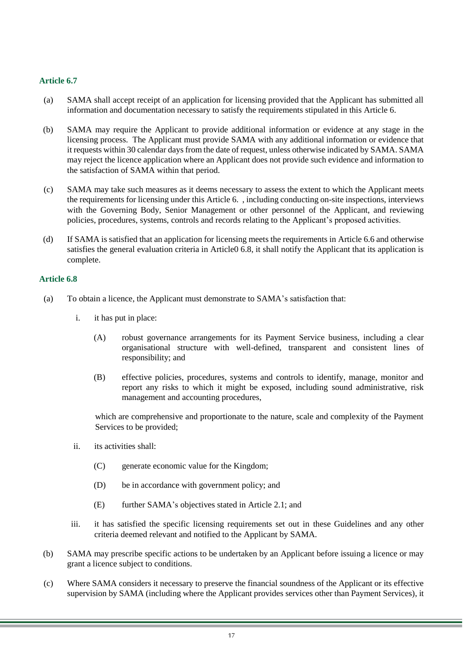- (a) SAMA shall accept receipt of an application for licensing provided that the Applicant has submitted all information and documentation necessary to satisfy the requirements stipulated in this Article 6.
- (b) SAMA may require the Applicant to provide additional information or evidence at any stage in the licensing process. The Applicant must provide SAMA with any additional information or evidence that it requests within 30 calendar days from the date of request, unless otherwise indicated by SAMA. SAMA may reject the licence application where an Applicant does not provide such evidence and information to the satisfaction of SAMA within that period.
- (c) SAMA may take such measures as it deems necessary to assess the extent to which the Applicant meets the requirements for licensing under this Article 6. , including conducting on-site inspections, interviews with the Governing Body, Senior Management or other personnel of the Applicant, and reviewing policies, procedures, systems, controls and records relating to the Applicant's proposed activities.
- (d) If SAMA is satisfied that an application for licensing meets the requirements in Article 6.6 and otherwise satisfies the general evaluation criteria in Articl[e0](#page-16-0) 6.8, it shall notify the Applicant that its application is complete.

#### <span id="page-16-0"></span>**Article 6.8**

- (a) To obtain a licence, the Applicant must demonstrate to SAMA's satisfaction that:
	- i. it has put in place:
		- (A) robust governance arrangements for its Payment Service business, including a clear organisational structure with well-defined, transparent and consistent lines of responsibility; and
		- (B) effective policies, procedures, systems and controls to identify, manage, monitor and report any risks to which it might be exposed, including sound administrative, risk management and accounting procedures,

which are comprehensive and proportionate to the nature, scale and complexity of the Payment Services to be provided;

- ii. its activities shall:
	- (C) generate economic value for the Kingdom;
	- (D) be in accordance with government policy; and
	- (E) further SAMA's objectives stated in Article 2.1; and
- iii. it has satisfied the specific licensing requirements set out in these Guidelines and any other criteria deemed relevant and notified to the Applicant by SAMA.
- (b) SAMA may prescribe specific actions to be undertaken by an Applicant before issuing a licence or may grant a licence subject to conditions.
- (c) Where SAMA considers it necessary to preserve the financial soundness of the Applicant or its effective supervision by SAMA (including where the Applicant provides services other than Payment Services), it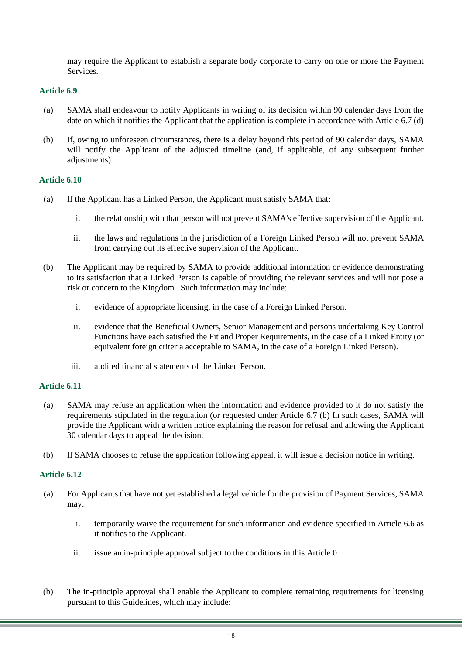may require the Applicant to establish a separate body corporate to carry on one or more the Payment **Services** 

# **Article 6.9**

- (a) SAMA shall endeavour to notify Applicants in writing of its decision within 90 calendar days from the date on which it notifies the Applicant that the application is complete in accordance with Article 6.7 (d)
- (b) If, owing to unforeseen circumstances, there is a delay beyond this period of 90 calendar days, SAMA will notify the Applicant of the adjusted timeline (and, if applicable, of any subsequent further adjustments).

#### **Article 6.10**

- (a) If the Applicant has a Linked Person, the Applicant must satisfy SAMA that:
	- i. the relationship with that person will not prevent SAMA's effective supervision of the Applicant.
	- ii. the laws and regulations in the jurisdiction of a Foreign Linked Person will not prevent SAMA from carrying out its effective supervision of the Applicant.
- (b) The Applicant may be required by SAMA to provide additional information or evidence demonstrating to its satisfaction that a Linked Person is capable of providing the relevant services and will not pose a risk or concern to the Kingdom. Such information may include:
	- i. evidence of appropriate licensing, in the case of a Foreign Linked Person.
	- ii. evidence that the Beneficial Owners, Senior Management and persons undertaking Key Control Functions have each satisfied the Fit and Proper Requirements, in the case of a Linked Entity (or equivalent foreign criteria acceptable to SAMA, in the case of a Foreign Linked Person).
	- iii. audited financial statements of the Linked Person.

# **Article 6.11**

- (a) SAMA may refuse an application when the information and evidence provided to it do not satisfy the requirements stipulated in the regulation (or requested under Article 6.7 (b) In such cases, SAMA will provide the Applicant with a written notice explaining the reason for refusal and allowing the Applicant 30 calendar days to appeal the decision.
- <span id="page-17-0"></span>(b) If SAMA chooses to refuse the application following appeal, it will issue a decision notice in writing.

- (a) For Applicants that have not yet established a legal vehicle for the provision of Payment Services, SAMA may:
	- i. temporarily waive the requirement for such information and evidence specified in Article 6.6 as it notifies to the Applicant.
	- ii. issue an in-principle approval subject to the conditions in this Article [0.](#page-17-0)
- (b) The in-principle approval shall enable the Applicant to complete remaining requirements for licensing pursuant to this Guidelines, which may include: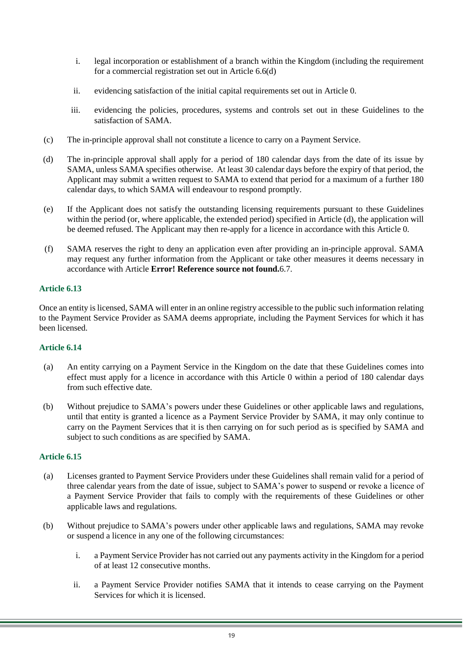- i. legal incorporation or establishment of a branch within the Kingdom (including the requirement for a commercial registration set out in Article 6.6(d)
- ii. evidencing satisfaction of the initial capital requirements set out in Article [0.](#page-22-0)
- iii. evidencing the policies, procedures, systems and controls set out in these Guidelines to the satisfaction of SAMA.
- (c) The in-principle approval shall not constitute a licence to carry on a Payment Service.
- <span id="page-18-0"></span>(d) The in-principle approval shall apply for a period of 180 calendar days from the date of its issue by SAMA, unless SAMA specifies otherwise. At least 30 calendar days before the expiry of that period, the Applicant may submit a written request to SAMA to extend that period for a maximum of a further 180 calendar days, to which SAMA will endeavour to respond promptly.
- (e) If the Applicant does not satisfy the outstanding licensing requirements pursuant to these Guidelines within the period (or, where applicable, the extended period) specified in Article [\(d\),](#page-18-0) the application will be deemed refused. The Applicant may then re-apply for a licence in accordance with this Article [0.](#page-12-0)
- (f) SAMA reserves the right to deny an application even after providing an in-principle approval. SAMA may request any further information from the Applicant or take other measures it deems necessary in accordance with Article **Error! Reference source not found.**6.7.

Once an entity is licensed, SAMA will enter in an online registry accessible to the public such information relating to the Payment Service Provider as SAMA deems appropriate, including the Payment Services for which it has been licensed.

# **Article 6.14**

- (a) An entity carrying on a Payment Service in the Kingdom on the date that these Guidelines comes into effect must apply for a licence in accordance with this Article [0](#page-12-0) within a period of 180 calendar days from such effective date.
- (b) Without prejudice to SAMA's powers under these Guidelines or other applicable laws and regulations, until that entity is granted a licence as a Payment Service Provider by SAMA, it may only continue to carry on the Payment Services that it is then carrying on for such period as is specified by SAMA and subject to such conditions as are specified by SAMA.

- <span id="page-18-2"></span><span id="page-18-1"></span>(a) Licenses granted to Payment Service Providers under these Guidelines shall remain valid for a period of three calendar years from the date of issue, subject to SAMA's power to suspend or revoke a licence of a Payment Service Provider that fails to comply with the requirements of these Guidelines or other applicable laws and regulations.
- (b) Without prejudice to SAMA's powers under other applicable laws and regulations, SAMA may revoke or suspend a licence in any one of the following circumstances:
	- i. a Payment Service Provider has not carried out any payments activity in the Kingdom for a period of at least 12 consecutive months.
	- ii. a Payment Service Provider notifies SAMA that it intends to cease carrying on the Payment Services for which it is licensed.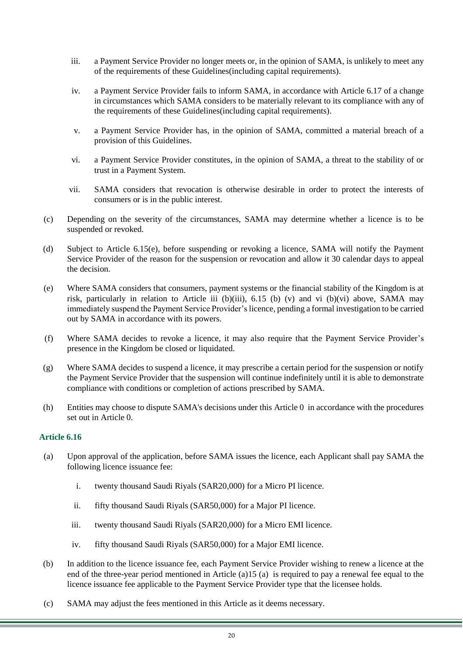- <span id="page-19-0"></span>iii. a Payment Service Provider no longer meets or, in the opinion of SAMA, is unlikely to meet any of the requirements of these Guidelines(including capital requirements).
- iv. a Payment Service Provider fails to inform SAMA, in accordance with Article 6.17 of a change in circumstances which SAMA considers to be materially relevant to its compliance with any of the requirements of these Guidelines(including capital requirements).
- v. a Payment Service Provider has, in the opinion of SAMA, committed a material breach of a provision of this Guidelines.
- <span id="page-19-1"></span>vi. a Payment Service Provider constitutes, in the opinion of SAMA, a threat to the stability of or trust in a Payment System.
- vii. SAMA considers that revocation is otherwise desirable in order to protect the interests of consumers or is in the public interest.
- (c) Depending on the severity of the circumstances, SAMA may determine whether a licence is to be suspended or revoked.
- (d) Subject to Article 6.15(e), before suspending or revoking a licence, SAMA will notify the Payment Service Provider of the reason for the suspension or revocation and allow it 30 calendar days to appeal the decision.
- (e) Where SAMA considers that consumers, payment systems or the financial stability of the Kingdom is at risk, particularly in relation to Article [iii](#page-19-0) (b)(iii), 6.15 (b) (v) and [vi](#page-19-1) (b)(vi) above, SAMA may immediately suspend the Payment Service Provider's licence, pending a formal investigation to be carried out by SAMA in accordance with its powers.
- (f) Where SAMA decides to revoke a licence, it may also require that the Payment Service Provider's presence in the Kingdom be closed or liquidated.
- (g) Where SAMA decides to suspend a licence, it may prescribe a certain period for the suspension or notify the Payment Service Provider that the suspension will continue indefinitely until it is able to demonstrate compliance with conditions or completion of actions prescribed by SAMA.
- (h) Entities may choose to dispute SAMA's decisions under this Article [0](#page-18-1) in accordance with the procedures set out in Article [0.](#page-51-0)

- (a) Upon approval of the application, before SAMA issues the licence, each Applicant shall pay SAMA the following licence issuance fee:
	- i. twenty thousand Saudi Riyals (SAR20,000) for a Micro PI licence.
	- ii. fifty thousand Saudi Riyals (SAR50,000) for a Major PI licence.
	- iii. twenty thousand Saudi Riyals (SAR20,000) for a Micro EMI licence.
	- iv. fifty thousand Saudi Riyals (SAR50,000) for a Major EMI licence.
- (b) In addition to the licence issuance fee, each Payment Service Provider wishing to renew a licence at the end of the three-year period mentioned in Article [\(a\)1](#page-18-2)5 (a) is required to pay a renewal fee equal to the licence issuance fee applicable to the Payment Service Provider type that the licensee holds.
- (c) SAMA may adjust the fees mentioned in this Article as it deems necessary.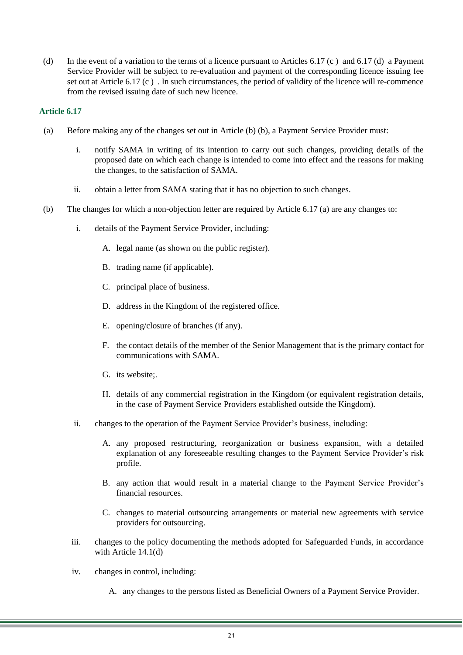(d) In the event of a variation to the terms of a licence pursuant to Articles 6.17 (c ) and 6.17 (d) a Payment Service Provider will be subject to re-evaluation and payment of the corresponding licence issuing fee set out at Article 6.17 (c ) . In such circumstances, the period of validity of the licence will re-commence from the revised issuing date of such new licence.

- <span id="page-20-1"></span>(a) Before making any of the changes set out in Article [\(b\)](#page-20-0) (b), a Payment Service Provider must:
	- i. notify SAMA in writing of its intention to carry out such changes, providing details of the proposed date on which each change is intended to come into effect and the reasons for making the changes, to the satisfaction of SAMA.
	- ii. obtain a letter from SAMA stating that it has no objection to such changes.
- <span id="page-20-0"></span>(b) The changes for which a non-objection letter are required by Article 6.17 (a) are any changes to:
	- i. details of the Payment Service Provider, including:
		- A. legal name (as shown on the public register).
		- B. trading name (if applicable).
		- C. principal place of business.
		- D. address in the Kingdom of the registered office.
		- E. opening/closure of branches (if any).
		- F. the contact details of the member of the Senior Management that is the primary contact for communications with SAMA.
		- G. its website;.
		- H. details of any commercial registration in the Kingdom (or equivalent registration details, in the case of Payment Service Providers established outside the Kingdom).
	- ii. changes to the operation of the Payment Service Provider's business, including:
		- A. any proposed restructuring, reorganization or business expansion, with a detailed explanation of any foreseeable resulting changes to the Payment Service Provider's risk profile.
		- B. any action that would result in a material change to the Payment Service Provider's financial resources.
		- C. changes to material outsourcing arrangements or material new agreements with service providers for outsourcing.
	- iii. changes to the policy documenting the methods adopted for Safeguarded Funds, in accordance with Article 14.1(d)
	- iv. changes in control, including:
		- A. any changes to the persons listed as Beneficial Owners of a Payment Service Provider.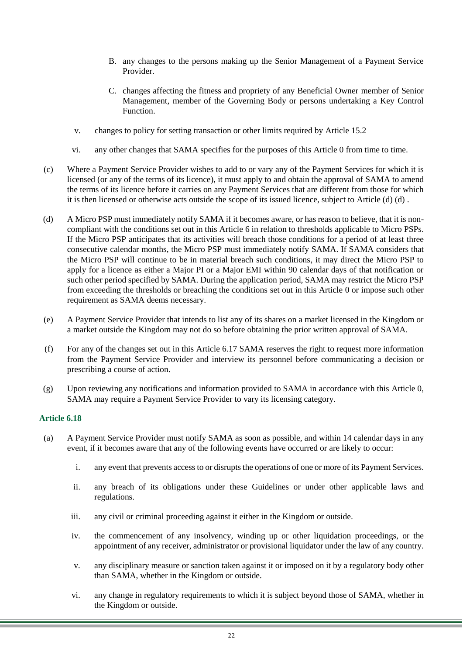- B. any changes to the persons making up the Senior Management of a Payment Service Provider.
- C. changes affecting the fitness and propriety of any Beneficial Owner member of Senior Management, member of the Governing Body or persons undertaking a Key Control Function.
- v. changes to policy for setting transaction or other limits required by Article 15.2
- vi. any other changes that SAMA specifies for the purposes of this Article [0](#page-20-1) from time to time.
- (c) Where a Payment Service Provider wishes to add to or vary any of the Payment Services for which it is licensed (or any of the terms of its licence), it must apply to and obtain the approval of SAMA to amend the terms of its licence before it carries on any Payment Services that are different from those for which it is then licensed or otherwise acts outside the scope of its issued licence, subject to Article [\(d\)](#page-21-0) (d) .
- <span id="page-21-0"></span>(d) A Micro PSP must immediately notify SAMA if it becomes aware, or has reason to believe, that it is noncompliant with the conditions set out in this Article 6 in relation to thresholds applicable to Micro PSPs. If the Micro PSP anticipates that its activities will breach those conditions for a period of at least three consecutive calendar months, the Micro PSP must immediately notify SAMA. If SAMA considers that the Micro PSP will continue to be in material breach such conditions, it may direct the Micro PSP to apply for a licence as either a Major PI or a Major EMI within 90 calendar days of that notification or such other period specified by SAMA. During the application period, SAMA may restrict the Micro PSP from exceeding the thresholds or breaching the conditions set out in this Article [0](#page-12-0) or impose such other requirement as SAMA deems necessary.
- (e) A Payment Service Provider that intends to list any of its shares on a market licensed in the Kingdom or a market outside the Kingdom may not do so before obtaining the prior written approval of SAMA.
- (f) For any of the changes set out in this Article 6.17 SAMA reserves the right to request more information from the Payment Service Provider and interview its personnel before communicating a decision or prescribing a course of action.
- (g) Upon reviewing any notifications and information provided to SAMA in accordance with this Article [0,](#page-20-1) SAMA may require a Payment Service Provider to vary its licensing category.

- (a) A Payment Service Provider must notify SAMA as soon as possible, and within 14 calendar days in any event, if it becomes aware that any of the following events have occurred or are likely to occur:
	- i. any event that prevents access to or disrupts the operations of one or more of its Payment Services.
	- ii. any breach of its obligations under these Guidelines or under other applicable laws and regulations.
	- iii. any civil or criminal proceeding against it either in the Kingdom or outside.
	- iv. the commencement of any insolvency, winding up or other liquidation proceedings, or the appointment of any receiver, administrator or provisional liquidator under the law of any country.
	- v. any disciplinary measure or sanction taken against it or imposed on it by a regulatory body other than SAMA, whether in the Kingdom or outside.
	- vi. any change in regulatory requirements to which it is subject beyond those of SAMA, whether in the Kingdom or outside.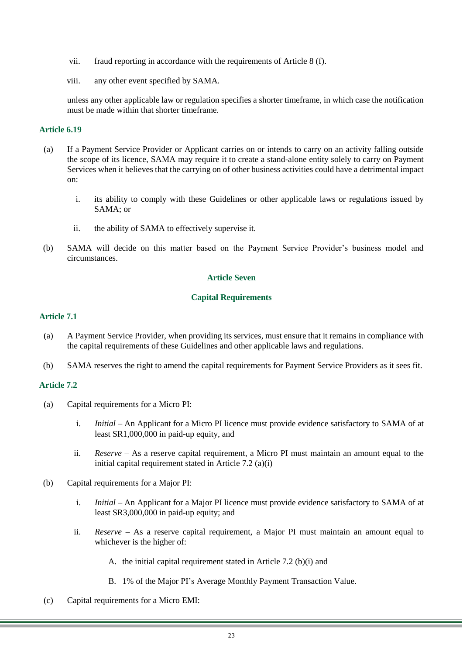- vii. fraud reporting in accordance with the requirements of Article 8 (f).
- viii. any other event specified by SAMA.

unless any other applicable law or regulation specifies a shorter timeframe, in which case the notification must be made within that shorter timeframe.

#### **Article 6.19**

- (a) If a Payment Service Provider or Applicant carries on or intends to carry on an activity falling outside the scope of its licence, SAMA may require it to create a stand-alone entity solely to carry on Payment Services when it believes that the carrying on of other business activities could have a detrimental impact on:
	- i. its ability to comply with these Guidelines or other applicable laws or regulations issued by SAMA; or
	- ii. the ability of SAMA to effectively supervise it.
- (b) SAMA will decide on this matter based on the Payment Service Provider's business model and circumstances.

#### **Article Seven**

#### **Capital Requirements**

#### <span id="page-22-0"></span>**Article 7.1**

- (a) A Payment Service Provider, when providing its services, must ensure that it remains in compliance with the capital requirements of these Guidelines and other applicable laws and regulations.
- (b) SAMA reserves the right to amend the capital requirements for Payment Service Providers as it sees fit.

## **Article 7.2**

- (a) Capital requirements for a Micro PI:
	- i. *Initial –* An Applicant for a Micro PI licence must provide evidence satisfactory to SAMA of at least SR1,000,000 in paid-up equity, and
	- ii. *Reserve –* As a reserve capital requirement, a Micro PI must maintain an amount equal to the initial capital requirement stated in Article 7.2 (a)(i)
- (b) Capital requirements for a Major PI:
	- i. *Initial –* An Applicant for a Major PI licence must provide evidence satisfactory to SAMA of at least SR3,000,000 in paid-up equity; and
	- ii. *Reserve –* As a reserve capital requirement, a Major PI must maintain an amount equal to whichever is the higher of:
		- A. the initial capital requirement stated in Article 7.2 (b)(i) and
		- B. 1% of the Major PI's Average Monthly Payment Transaction Value.
- (c) Capital requirements for a Micro EMI: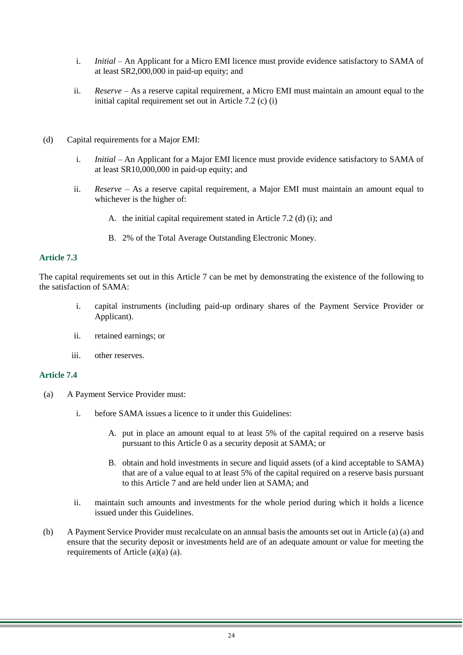- i. *Initial –* An Applicant for a Micro EMI licence must provide evidence satisfactory to SAMA of at least SR2,000,000 in paid-up equity; and
- ii. *Reserve –* As a reserve capital requirement, a Micro EMI must maintain an amount equal to the initial capital requirement set out in Article 7.2 (c) (i)
- (d) Capital requirements for a Major EMI:
	- i. *Initial –* An Applicant for a Major EMI licence must provide evidence satisfactory to SAMA of at least SR10,000,000 in paid-up equity; and
	- ii. *Reserve –* As a reserve capital requirement, a Major EMI must maintain an amount equal to whichever is the higher of:
		- A. the initial capital requirement stated in Article 7.2 (d) (i); and
		- B. 2% of the Total Average Outstanding Electronic Money.

## **Article 7.3**

The capital requirements set out in this Article 7 can be met by demonstrating the existence of the following to the satisfaction of SAMA:

- i. capital instruments (including paid-up ordinary shares of the Payment Service Provider or Applicant).
- ii. retained earnings; or
- iii. other reserves.

#### <span id="page-23-0"></span>**Article 7.4**

- (a) A Payment Service Provider must:
	- i. before SAMA issues a licence to it under this Guidelines:
		- A. put in place an amount equal to at least 5% of the capital required on a reserve basis pursuant to this Article [0](#page-22-0) as a security deposit at SAMA; or
		- B. obtain and hold investments in secure and liquid assets (of a kind acceptable to SAMA) that are of a value equal to at least 5% of the capital required on a reserve basis pursuant to this Article 7 and are held under lien at  $SAMA$ ; and
	- ii. maintain such amounts and investments for the whole period during which it holds a licence issued under this Guidelines.
- (b) A Payment Service Provider must recalculate on an annual basis the amounts set out in Article [\(a\)](#page-23-0) (a) and ensure that the security deposit or investments held are of an adequate amount or value for meeting the requirements of Article [\(a\)\(a\)](#page-23-0) (a).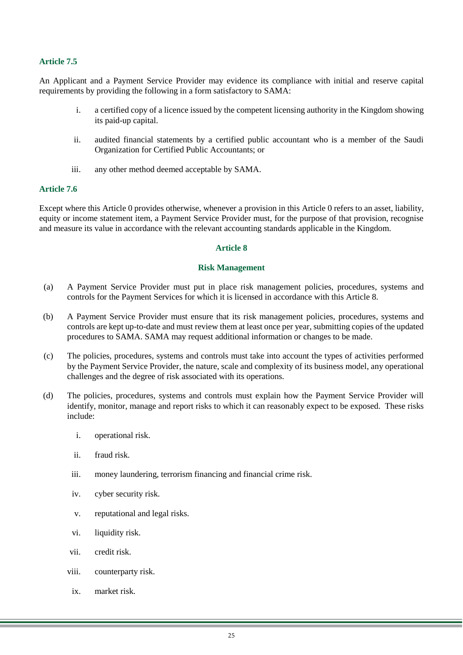## **Article 7.5**

An Applicant and a Payment Service Provider may evidence its compliance with initial and reserve capital requirements by providing the following in a form satisfactory to SAMA:

- i. a certified copy of a licence issued by the competent licensing authority in the Kingdom showing its paid-up capital.
- ii. audited financial statements by a certified public accountant who is a member of the Saudi Organization for Certified Public Accountants; or
- iii. any other method deemed acceptable by SAMA.

#### **Article 7.6**

<span id="page-24-0"></span>Except where this Article [0](#page-22-0) provides otherwise, whenever a provision in this Article [0](#page-22-0) refers to an asset, liability, equity or income statement item, a Payment Service Provider must, for the purpose of that provision, recognise and measure its value in accordance with the relevant accounting standards applicable in the Kingdom.

#### **Article 8**

#### **Risk Management**

- (a) A Payment Service Provider must put in place risk management policies, procedures, systems and controls for the Payment Services for which it is licensed in accordance with this Article 8.
- (b) A Payment Service Provider must ensure that its risk management policies, procedures, systems and controls are kept up-to-date and must review them at least once per year, submitting copies of the updated procedures to SAMA. SAMA may request additional information or changes to be made.
- (c) The policies, procedures, systems and controls must take into account the types of activities performed by the Payment Service Provider, the nature, scale and complexity of its business model, any operational challenges and the degree of risk associated with its operations.
- (d) The policies, procedures, systems and controls must explain how the Payment Service Provider will identify, monitor, manage and report risks to which it can reasonably expect to be exposed. These risks include:
	- i. operational risk.
	- ii. fraud risk.
	- iii. money laundering, terrorism financing and financial crime risk.
	- iv. cyber security risk.
	- v. reputational and legal risks.
	- vi. liquidity risk.
	- vii. credit risk.
	- viii. counterparty risk.
	- ix. market risk.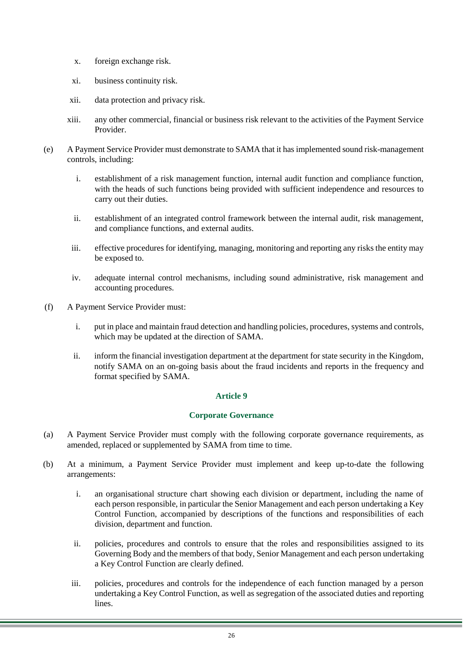- x. foreign exchange risk.
- xi. business continuity risk.
- xii. data protection and privacy risk.
- xiii. any other commercial, financial or business risk relevant to the activities of the Payment Service Provider.
- (e) A Payment Service Provider must demonstrate to SAMA that it has implemented sound risk-management controls, including:
	- i. establishment of a risk management function, internal audit function and compliance function, with the heads of such functions being provided with sufficient independence and resources to carry out their duties.
	- ii. establishment of an integrated control framework between the internal audit, risk management, and compliance functions, and external audits.
	- iii. effective procedures for identifying, managing, monitoring and reporting any risks the entity may be exposed to.
	- iv. adequate internal control mechanisms, including sound administrative, risk management and accounting procedures.
- (f) A Payment Service Provider must:
	- i. put in place and maintain fraud detection and handling policies, procedures, systems and controls, which may be updated at the direction of SAMA.
	- ii. inform the financial investigation department at the department for state security in the Kingdom, notify SAMA on an on-going basis about the fraud incidents and reports in the frequency and format specified by SAMA.

#### **Corporate Governance**

- <span id="page-25-0"></span>(a) A Payment Service Provider must comply with the following corporate governance requirements, as amended, replaced or supplemented by SAMA from time to time.
- (b) At a minimum, a Payment Service Provider must implement and keep up-to-date the following arrangements:
	- i. an organisational structure chart showing each division or department, including the name of each person responsible, in particular the Senior Management and each person undertaking a Key Control Function, accompanied by descriptions of the functions and responsibilities of each division, department and function.
	- ii. policies, procedures and controls to ensure that the roles and responsibilities assigned to its Governing Body and the members of that body, Senior Management and each person undertaking a Key Control Function are clearly defined.
	- iii. policies, procedures and controls for the independence of each function managed by a person undertaking a Key Control Function, as well as segregation of the associated duties and reporting lines.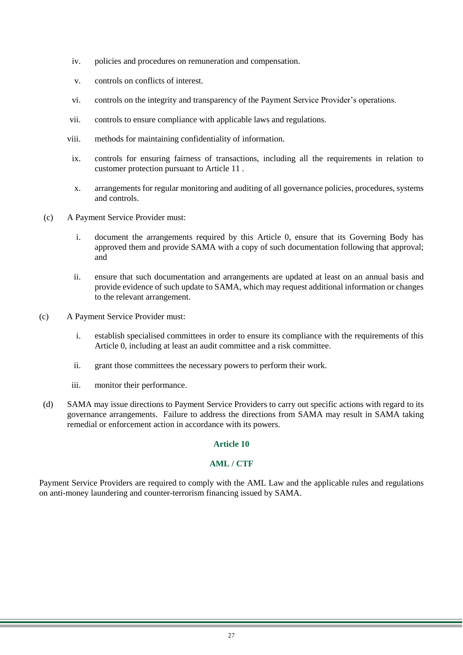- iv. policies and procedures on remuneration and compensation.
- v. controls on conflicts of interest.
- vi. controls on the integrity and transparency of the Payment Service Provider's operations.
- vii. controls to ensure compliance with applicable laws and regulations.
- viii. methods for maintaining confidentiality of information.
- ix. controls for ensuring fairness of transactions, including all the requirements in relation to customer protection pursuant to Article 11 .
- x. arrangements for regular monitoring and auditing of all governance policies, procedures, systems and controls.
- (c) A Payment Service Provider must:
	- i. document the arrangements required by this Article [0,](#page-25-0) ensure that its Governing Body has approved them and provide SAMA with a copy of such documentation following that approval; and
	- ii. ensure that such documentation and arrangements are updated at least on an annual basis and provide evidence of such update to SAMA, which may request additional information or changes to the relevant arrangement.
- (c) A Payment Service Provider must:
	- i. establish specialised committees in order to ensure its compliance with the requirements of this Article [0,](#page-25-0) including at least an audit committee and a risk committee.
	- ii. grant those committees the necessary powers to perform their work.
	- iii. monitor their performance.
- (d) SAMA may issue directions to Payment Service Providers to carry out specific actions with regard to its governance arrangements. Failure to address the directions from SAMA may result in SAMA taking remedial or enforcement action in accordance with its powers.

# **AML / CTF**

Payment Service Providers are required to comply with the AML Law and the applicable rules and regulations on anti-money laundering and counter-terrorism financing issued by SAMA.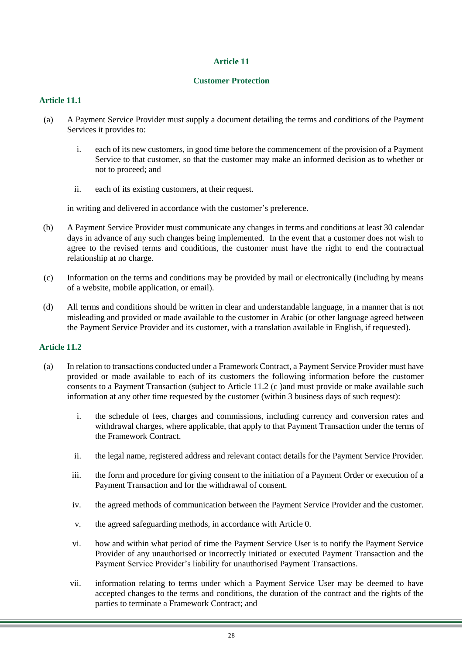## **Customer Protection**

# <span id="page-27-2"></span>**Article 11.1**

- (a) A Payment Service Provider must supply a document detailing the terms and conditions of the Payment Services it provides to:
	- i. each of its new customers, in good time before the commencement of the provision of a Payment Service to that customer, so that the customer may make an informed decision as to whether or not to proceed; and
	- ii. each of its existing customers, at their request.

in writing and delivered in accordance with the customer's preference.

- (b) A Payment Service Provider must communicate any changes in terms and conditions at least 30 calendar days in advance of any such changes being implemented. In the event that a customer does not wish to agree to the revised terms and conditions, the customer must have the right to end the contractual relationship at no charge.
- (c) Information on the terms and conditions may be provided by mail or electronically (including by means of a website, mobile application, or email).
- (d) All terms and conditions should be written in clear and understandable language, in a manner that is not misleading and provided or made available to the customer in Arabic (or other language agreed between the Payment Service Provider and its customer, with a translation available in English, if requested).

- <span id="page-27-1"></span><span id="page-27-0"></span>(a) In relation to transactions conducted under a Framework Contract, a Payment Service Provider must have provided or made available to each of its customers the following information before the customer consents to a Payment Transaction (subject to Article 11.2 (c )and must provide or make available such information at any other time requested by the customer (within 3 business days of such request):
	- i. the schedule of fees, charges and commissions, including currency and conversion rates and withdrawal charges, where applicable, that apply to that Payment Transaction under the terms of the Framework Contract.
	- ii. the legal name, registered address and relevant contact details for the Payment Service Provider.
	- iii. the form and procedure for giving consent to the initiation of a Payment Order or execution of a Payment Transaction and for the withdrawal of consent.
	- iv. the agreed methods of communication between the Payment Service Provider and the customer.
	- v. the agreed safeguarding methods, in accordance with Article [0.](#page-37-0)
	- vi. how and within what period of time the Payment Service User is to notify the Payment Service Provider of any unauthorised or incorrectly initiated or executed Payment Transaction and the Payment Service Provider's liability for unauthorised Payment Transactions.
	- vii. information relating to terms under which a Payment Service User may be deemed to have accepted changes to the terms and conditions, the duration of the contract and the rights of the parties to terminate a Framework Contract; and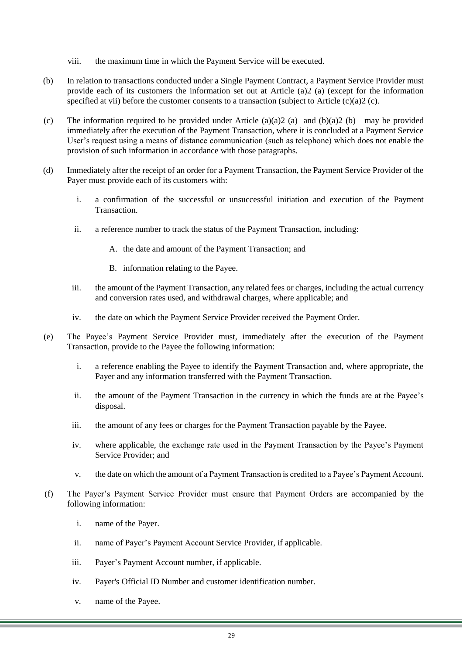- viii. the maximum time in which the Payment Service will be executed.
- <span id="page-28-1"></span>(b) In relation to transactions conducted under a Single Payment Contract, a Payment Service Provider must provide each of its customers the information set out at Article [\(a\)2](#page-27-0) (a) (except for the information specified at [vii\)](#page-27-1) before the customer consents to a transaction (subject to Article  $(c)(a)2$  (c).
- <span id="page-28-0"></span>(c) The information required to be provided under Article [\(a\)\(a\)2](#page-27-0) (a) and [\(b\)\(a\)2](#page-28-1) (b) may be provided immediately after the execution of the Payment Transaction, where it is concluded at a Payment Service User's request using a means of distance communication (such as telephone) which does not enable the provision of such information in accordance with those paragraphs.
- (d) Immediately after the receipt of an order for a Payment Transaction, the Payment Service Provider of the Payer must provide each of its customers with:
	- i. a confirmation of the successful or unsuccessful initiation and execution of the Payment Transaction.
	- ii. a reference number to track the status of the Payment Transaction, including:
		- A. the date and amount of the Payment Transaction; and
		- B. information relating to the Payee.
	- iii. the amount of the Payment Transaction, any related fees or charges, including the actual currency and conversion rates used, and withdrawal charges, where applicable; and
	- iv. the date on which the Payment Service Provider received the Payment Order.
- (e) The Payee's Payment Service Provider must, immediately after the execution of the Payment Transaction, provide to the Payee the following information:
	- i. a reference enabling the Payee to identify the Payment Transaction and, where appropriate, the Payer and any information transferred with the Payment Transaction.
	- ii. the amount of the Payment Transaction in the currency in which the funds are at the Payee's disposal.
	- iii. the amount of any fees or charges for the Payment Transaction payable by the Payee.
	- iv. where applicable, the exchange rate used in the Payment Transaction by the Payee's Payment Service Provider; and
	- v. the date on which the amount of a Payment Transaction is credited to a Payee's Payment Account.
- <span id="page-28-3"></span><span id="page-28-2"></span>(f) The Payer's Payment Service Provider must ensure that Payment Orders are accompanied by the following information:
	- i. name of the Payer.
	- ii. name of Payer's Payment Account Service Provider, if applicable.
	- iii. Payer's Payment Account number, if applicable.
	- iv. Payer's Official ID Number and customer identification number.
	- v. name of the Payee.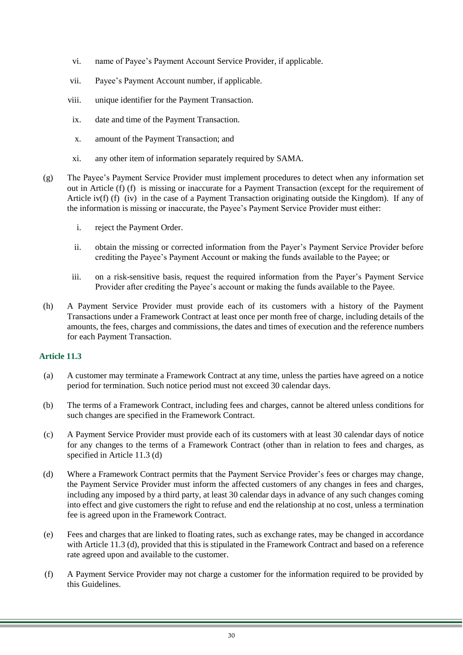- vi. name of Payee's Payment Account Service Provider, if applicable.
- vii. Payee's Payment Account number, if applicable.
- viii. unique identifier for the Payment Transaction.
- ix. date and time of the Payment Transaction.
- x. amount of the Payment Transaction; and
- xi. any other item of information separately required by SAMA.
- (g) The Payee's Payment Service Provider must implement procedures to detect when any information set out in Article [\(f\)](#page-28-2) (f) is missing or inaccurate for a Payment Transaction (except for the requirement of Article [iv\(f\)](#page-28-3) (f) (iv) in the case of a Payment Transaction originating outside the Kingdom). If any of the information is missing or inaccurate, the Payee's Payment Service Provider must either:
	- i. reject the Payment Order.
	- ii. obtain the missing or corrected information from the Payer's Payment Service Provider before crediting the Payee's Payment Account or making the funds available to the Payee; or
	- iii. on a risk-sensitive basis, request the required information from the Payer's Payment Service Provider after crediting the Payee's account or making the funds available to the Payee.
- (h) A Payment Service Provider must provide each of its customers with a history of the Payment Transactions under a Framework Contract at least once per month free of charge, including details of the amounts, the fees, charges and commissions, the dates and times of execution and the reference numbers for each Payment Transaction.

- (a) A customer may terminate a Framework Contract at any time, unless the parties have agreed on a notice period for termination. Such notice period must not exceed 30 calendar days.
- (b) The terms of a Framework Contract, including fees and charges, cannot be altered unless conditions for such changes are specified in the Framework Contract.
- (c) A Payment Service Provider must provide each of its customers with at least 30 calendar days of notice for any changes to the terms of a Framework Contract (other than in relation to fees and charges, as specified in Article 11.3 (d)
- (d) Where a Framework Contract permits that the Payment Service Provider's fees or charges may change, the Payment Service Provider must inform the affected customers of any changes in fees and charges, including any imposed by a third party, at least 30 calendar days in advance of any such changes coming into effect and give customers the right to refuse and end the relationship at no cost, unless a termination fee is agreed upon in the Framework Contract.
- (e) Fees and charges that are linked to floating rates, such as exchange rates, may be changed in accordance with Article 11.3 (d), provided that this is stipulated in the Framework Contract and based on a reference rate agreed upon and available to the customer.
- (f) A Payment Service Provider may not charge a customer for the information required to be provided by this Guidelines.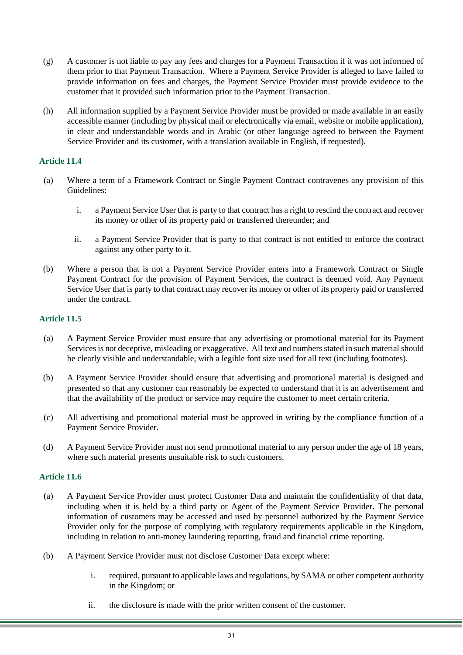- (g) A customer is not liable to pay any fees and charges for a Payment Transaction if it was not informed of them prior to that Payment Transaction. Where a Payment Service Provider is alleged to have failed to provide information on fees and charges, the Payment Service Provider must provide evidence to the customer that it provided such information prior to the Payment Transaction.
- (h) All information supplied by a Payment Service Provider must be provided or made available in an easily accessible manner (including by physical mail or electronically via email, website or mobile application), in clear and understandable words and in Arabic (or other language agreed to between the Payment Service Provider and its customer, with a translation available in English, if requested).

- (a) Where a term of a Framework Contract or Single Payment Contract contravenes any provision of this Guidelines:
	- i. a Payment Service User that is party to that contract has a right to rescind the contract and recover its money or other of its property paid or transferred thereunder; and
	- ii. a Payment Service Provider that is party to that contract is not entitled to enforce the contract against any other party to it.
- (b) Where a person that is not a Payment Service Provider enters into a Framework Contract or Single Payment Contract for the provision of Payment Services, the contract is deemed void. Any Payment Service User that is party to that contract may recover its money or other of its property paid or transferred under the contract.

# **Article 11.5**

- (a) A Payment Service Provider must ensure that any advertising or promotional material for its Payment Services is not deceptive, misleading or exaggerative. All text and numbers stated in such material should be clearly visible and understandable, with a legible font size used for all text (including footnotes).
- (b) A Payment Service Provider should ensure that advertising and promotional material is designed and presented so that any customer can reasonably be expected to understand that it is an advertisement and that the availability of the product or service may require the customer to meet certain criteria.
- (c) All advertising and promotional material must be approved in writing by the compliance function of a Payment Service Provider.
- (d) A Payment Service Provider must not send promotional material to any person under the age of 18 years, where such material presents unsuitable risk to such customers.

- (a) A Payment Service Provider must protect Customer Data and maintain the confidentiality of that data, including when it is held by a third party or Agent of the Payment Service Provider. The personal information of customers may be accessed and used by personnel authorized by the Payment Service Provider only for the purpose of complying with regulatory requirements applicable in the Kingdom, including in relation to anti-money laundering reporting, fraud and financial crime reporting.
- (b) A Payment Service Provider must not disclose Customer Data except where:
	- i. required, pursuant to applicable laws and regulations, by SAMA or other competent authority in the Kingdom; or
	- ii. the disclosure is made with the prior written consent of the customer.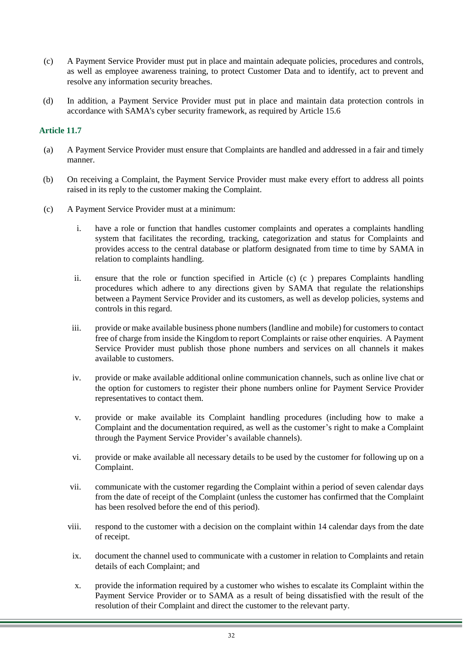- (c) A Payment Service Provider must put in place and maintain adequate policies, procedures and controls, as well as employee awareness training, to protect Customer Data and to identify, act to prevent and resolve any information security breaches.
- <span id="page-31-0"></span>(d) In addition, a Payment Service Provider must put in place and maintain data protection controls in accordance with SAMA's cyber security framework, as required by Article 15.6

- (a) A Payment Service Provider must ensure that Complaints are handled and addressed in a fair and timely manner.
- (b) On receiving a Complaint, the Payment Service Provider must make every effort to address all points raised in its reply to the customer making the Complaint.
- <span id="page-31-1"></span>(c) A Payment Service Provider must at a minimum:
	- i. have a role or function that handles customer complaints and operates a complaints handling system that facilitates the recording, tracking, categorization and status for Complaints and provides access to the central database or platform designated from time to time by SAMA in relation to complaints handling.
	- ii. ensure that the role or function specified in Article [\(c\)](#page-31-1) (c ) prepares Complaints handling procedures which adhere to any directions given by SAMA that regulate the relationships between a Payment Service Provider and its customers, as well as develop policies, systems and controls in this regard.
	- iii. provide or make available business phone numbers (landline and mobile) for customers to contact free of charge from inside the Kingdom to report Complaints or raise other enquiries. A Payment Service Provider must publish those phone numbers and services on all channels it makes available to customers.
	- iv. provide or make available additional online communication channels, such as online live chat or the option for customers to register their phone numbers online for Payment Service Provider representatives to contact them.
	- v. provide or make available its Complaint handling procedures (including how to make a Complaint and the documentation required, as well as the customer's right to make a Complaint through the Payment Service Provider's available channels).
	- vi. provide or make available all necessary details to be used by the customer for following up on a Complaint.
	- vii. communicate with the customer regarding the Complaint within a period of seven calendar days from the date of receipt of the Complaint (unless the customer has confirmed that the Complaint has been resolved before the end of this period).
	- viii. respond to the customer with a decision on the complaint within 14 calendar days from the date of receipt.
	- ix. document the channel used to communicate with a customer in relation to Complaints and retain details of each Complaint; and
	- x. provide the information required by a customer who wishes to escalate its Complaint within the Payment Service Provider or to SAMA as a result of being dissatisfied with the result of the resolution of their Complaint and direct the customer to the relevant party.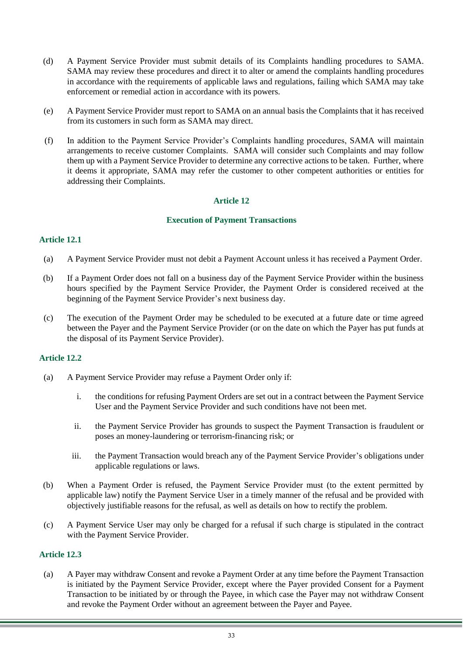- (d) A Payment Service Provider must submit details of its Complaints handling procedures to SAMA. SAMA may review these procedures and direct it to alter or amend the complaints handling procedures in accordance with the requirements of applicable laws and regulations, failing which SAMA may take enforcement or remedial action in accordance with its powers.
- (e) A Payment Service Provider must report to SAMA on an annual basis the Complaints that it has received from its customers in such form as SAMA may direct.
- (f) In addition to the Payment Service Provider's Complaints handling procedures, SAMA will maintain arrangements to receive customer Complaints. SAMA will consider such Complaints and may follow them up with a Payment Service Provider to determine any corrective actions to be taken. Further, where it deems it appropriate, SAMA may refer the customer to other competent authorities or entities for addressing their Complaints.

## **Execution of Payment Transactions**

# <span id="page-32-1"></span><span id="page-32-0"></span>**Article 12.1**

- (a) A Payment Service Provider must not debit a Payment Account unless it has received a Payment Order.
- (b) If a Payment Order does not fall on a business day of the Payment Service Provider within the business hours specified by the Payment Service Provider, the Payment Order is considered received at the beginning of the Payment Service Provider's next business day.
- (c) The execution of the Payment Order may be scheduled to be executed at a future date or time agreed between the Payer and the Payment Service Provider (or on the date on which the Payer has put funds at the disposal of its Payment Service Provider).

# **Article 12.2**

- (a) A Payment Service Provider may refuse a Payment Order only if:
	- i. the conditions for refusing Payment Orders are set out in a contract between the Payment Service User and the Payment Service Provider and such conditions have not been met.
	- ii. the Payment Service Provider has grounds to suspect the Payment Transaction is fraudulent or poses an money-laundering or terrorism-financing risk; or
	- iii. the Payment Transaction would breach any of the Payment Service Provider's obligations under applicable regulations or laws.
- (b) When a Payment Order is refused, the Payment Service Provider must (to the extent permitted by applicable law) notify the Payment Service User in a timely manner of the refusal and be provided with objectively justifiable reasons for the refusal, as well as details on how to rectify the problem.
- (c) A Payment Service User may only be charged for a refusal if such charge is stipulated in the contract with the Payment Service Provider.

#### **Article 12.3**

(a) A Payer may withdraw Consent and revoke a Payment Order at any time before the Payment Transaction is initiated by the Payment Service Provider, except where the Payer provided Consent for a Payment Transaction to be initiated by or through the Payee, in which case the Payer may not withdraw Consent and revoke the Payment Order without an agreement between the Payer and Payee.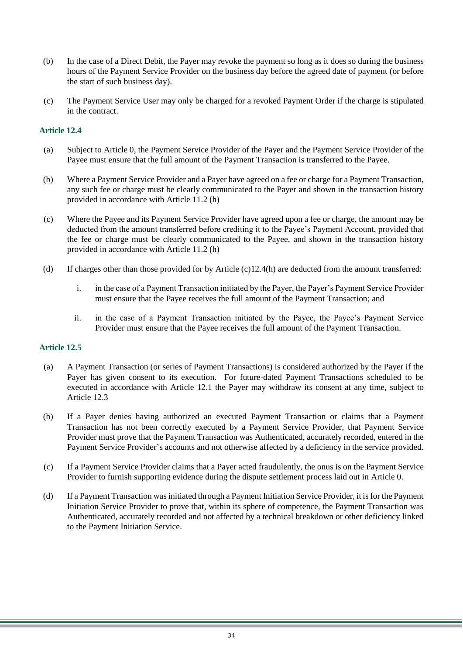- (b) In the case of a Direct Debit, the Payer may revoke the payment so long as it does so during the business hours of the Payment Service Provider on the business day before the agreed date of payment (or before the start of such business day).
- (c) The Payment Service User may only be charged for a revoked Payment Order if the charge is stipulated in the contract.

- (a) Subject to Article [0,](#page-32-0) the Payment Service Provider of the Payer and the Payment Service Provider of the Payee must ensure that the full amount of the Payment Transaction is transferred to the Payee.
- (b) Where a Payment Service Provider and a Payer have agreed on a fee or charge for a Payment Transaction, any such fee or charge must be clearly communicated to the Payer and shown in the transaction history provided in accordance with Article 11.2 (h)
- <span id="page-33-0"></span>(c) Where the Payee and its Payment Service Provider have agreed upon a fee or charge, the amount may be deducted from the amount transferred before crediting it to the Payee's Payment Account, provided that the fee or charge must be clearly communicated to the Payee, and shown in the transaction history provided in accordance with Article 11.2 (h)
- (d) If charges other than those provided for by Article [\(c\)1](#page-33-0)2.4(h) are deducted from the amount transferred:
	- i. in the case of a Payment Transaction initiated by the Payer, the Payer's Payment Service Provider must ensure that the Payee receives the full amount of the Payment Transaction; and
	- ii. in the case of a Payment Transaction initiated by the Payee, the Payee's Payment Service Provider must ensure that the Payee receives the full amount of the Payment Transaction.

- <span id="page-33-2"></span><span id="page-33-1"></span>(a) A Payment Transaction (or series of Payment Transactions) is considered authorized by the Payer if the Payer has given consent to its execution. For future-dated Payment Transactions scheduled to be executed in accordance with Article 12.1 the Payer may withdraw its consent at any time, subject to Article 12.3
- (b) If a Payer denies having authorized an executed Payment Transaction or claims that a Payment Transaction has not been correctly executed by a Payment Service Provider, that Payment Service Provider must prove that the Payment Transaction was Authenticated, accurately recorded, entered in the Payment Service Provider's accounts and not otherwise affected by a deficiency in the service provided.
- (c) If a Payment Service Provider claims that a Payer acted fraudulently, the onus is on the Payment Service Provider to furnish supporting evidence during the dispute settlement process laid out in Article [0.](#page-51-0)
- <span id="page-33-3"></span>(d) If a Payment Transaction was initiated through a Payment Initiation Service Provider, it is for the Payment Initiation Service Provider to prove that, within its sphere of competence, the Payment Transaction was Authenticated, accurately recorded and not affected by a technical breakdown or other deficiency linked to the Payment Initiation Service.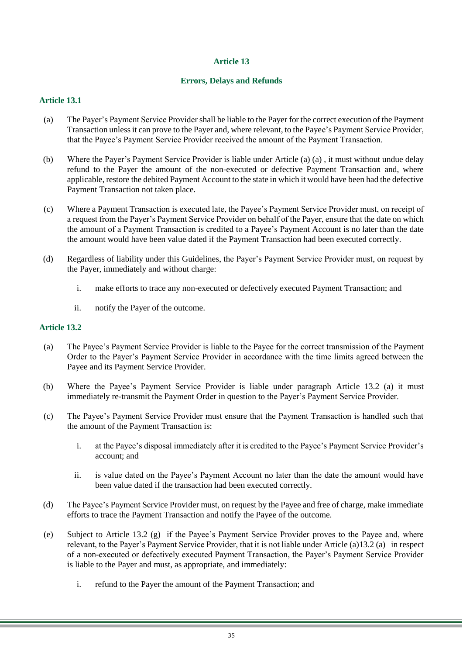## **Errors, Delays and Refunds**

# <span id="page-34-0"></span>**Article 13.1**

- (a) The Payer's Payment Service Provider shall be liable to the Payer for the correct execution of the Payment Transaction unless it can prove to the Payer and, where relevant, to the Payee's Payment Service Provider, that the Payee's Payment Service Provider received the amount of the Payment Transaction.
- (b) Where the Payer's Payment Service Provider is liable under Article [\(a\)](#page-34-0) (a) , it must without undue delay refund to the Payer the amount of the non-executed or defective Payment Transaction and, where applicable, restore the debited Payment Account to the state in which it would have been had the defective Payment Transaction not taken place.
- (c) Where a Payment Transaction is executed late, the Payee's Payment Service Provider must, on receipt of a request from the Payer's Payment Service Provider on behalf of the Payer, ensure that the date on which the amount of a Payment Transaction is credited to a Payee's Payment Account is no later than the date the amount would have been value dated if the Payment Transaction had been executed correctly.
- (d) Regardless of liability under this Guidelines, the Payer's Payment Service Provider must, on request by the Payer, immediately and without charge:
	- i. make efforts to trace any non-executed or defectively executed Payment Transaction; and
	- ii. notify the Payer of the outcome.

- <span id="page-34-1"></span>(a) The Payee's Payment Service Provider is liable to the Payee for the correct transmission of the Payment Order to the Payer's Payment Service Provider in accordance with the time limits agreed between the Payee and its Payment Service Provider.
- (b) Where the Payee's Payment Service Provider is liable under paragraph Article 13.2 (a) it must immediately re-transmit the Payment Order in question to the Payer's Payment Service Provider.
- (c) The Payee's Payment Service Provider must ensure that the Payment Transaction is handled such that the amount of the Payment Transaction is:
	- i. at the Payee's disposal immediately after it is credited to the Payee's Payment Service Provider's account; and
	- ii. is value dated on the Payee's Payment Account no later than the date the amount would have been value dated if the transaction had been executed correctly.
- (d) The Payee's Payment Service Provider must, on request by the Payee and free of charge, make immediate efforts to trace the Payment Transaction and notify the Payee of the outcome.
- <span id="page-34-2"></span>(e) Subject to Article 13.2 (g) if the Payee's Payment Service Provider proves to the Payee and, where relevant, to the Payer's Payment Service Provider, that it is not liable under Article [\(a\)1](#page-34-1)3.2 (a) in respect of a non-executed or defectively executed Payment Transaction, the Payer's Payment Service Provider is liable to the Payer and must, as appropriate, and immediately:
	- i. refund to the Payer the amount of the Payment Transaction; and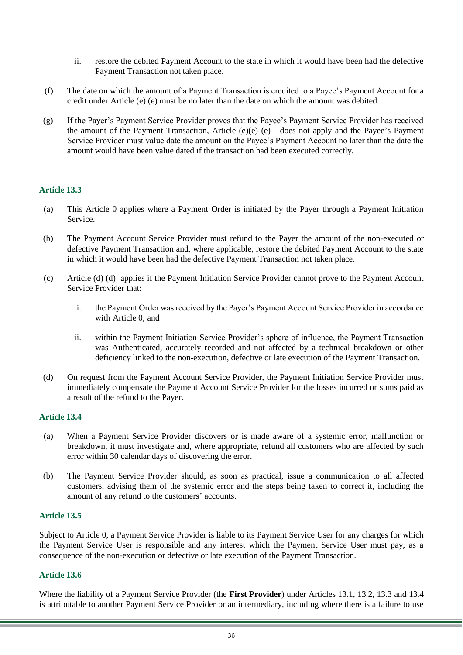- ii. restore the debited Payment Account to the state in which it would have been had the defective Payment Transaction not taken place.
- (f) The date on which the amount of a Payment Transaction is credited to a Payee's Payment Account for a credit under Article [\(e\)](#page-34-2) (e) must be no later than the date on which the amount was debited.
- (g) If the Payer's Payment Service Provider proves that the Payee's Payment Service Provider has received the amount of the Payment Transaction, Article [\(e\)\(e\)](#page-34-2) (e) does not apply and the Payee's Payment Service Provider must value date the amount on the Payee's Payment Account no later than the date the amount would have been value dated if the transaction had been executed correctly.

- <span id="page-35-0"></span>(a) This Article [0](#page-35-0) applies where a Payment Order is initiated by the Payer through a Payment Initiation Service.
- (b) The Payment Account Service Provider must refund to the Payer the amount of the non-executed or defective Payment Transaction and, where applicable, restore the debited Payment Account to the state in which it would have been had the defective Payment Transaction not taken place.
- (c) Article [\(d\)](#page-35-1) (d) applies if the Payment Initiation Service Provider cannot prove to the Payment Account Service Provider that:
	- i. the Payment Order was received by the Payer's Payment Account Service Provider in accordance with Article [0;](#page-32-1) and
	- ii. within the Payment Initiation Service Provider's sphere of influence, the Payment Transaction was Authenticated, accurately recorded and not affected by a technical breakdown or other deficiency linked to the non-execution, defective or late execution of the Payment Transaction.
- <span id="page-35-1"></span>(d) On request from the Payment Account Service Provider, the Payment Initiation Service Provider must immediately compensate the Payment Account Service Provider for the losses incurred or sums paid as a result of the refund to the Payer.

### **Article 13.4**

- (a) When a Payment Service Provider discovers or is made aware of a systemic error, malfunction or breakdown, it must investigate and, where appropriate, refund all customers who are affected by such error within 30 calendar days of discovering the error.
- (b) The Payment Service Provider should, as soon as practical, issue a communication to all affected customers, advising them of the systemic error and the steps being taken to correct it, including the amount of any refund to the customers' accounts.

#### **Article 13.5**

Subject to Article [0,](#page-35-2) a Payment Service Provider is liable to its Payment Service User for any charges for which the Payment Service User is responsible and any interest which the Payment Service User must pay, as a consequence of the non-execution or defective or late execution of the Payment Transaction.

#### <span id="page-35-2"></span>**Article 13.6**

Where the liability of a Payment Service Provider (the **First Provider**) under Articles 13.1, 13.2, 13.3 and 13.4 is attributable to another Payment Service Provider or an intermediary, including where there is a failure to use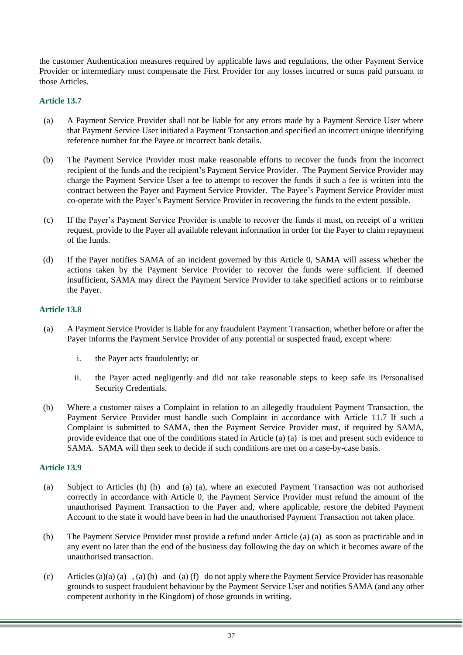the customer Authentication measures required by applicable laws and regulations, the other Payment Service Provider or intermediary must compensate the First Provider for any losses incurred or sums paid pursuant to those Articles.

# <span id="page-36-0"></span>**Article 13.7**

- (a) A Payment Service Provider shall not be liable for any errors made by a Payment Service User where that Payment Service User initiated a Payment Transaction and specified an incorrect unique identifying reference number for the Payee or incorrect bank details.
- (b) The Payment Service Provider must make reasonable efforts to recover the funds from the incorrect recipient of the funds and the recipient's Payment Service Provider. The Payment Service Provider may charge the Payment Service User a fee to attempt to recover the funds if such a fee is written into the contract between the Payer and Payment Service Provider. The Payee's Payment Service Provider must co-operate with the Payer's Payment Service Provider in recovering the funds to the extent possible.
- (c) If the Payer's Payment Service Provider is unable to recover the funds it must, on receipt of a written request, provide to the Payer all available relevant information in order for the Payer to claim repayment of the funds.
- (d) If the Payer notifies SAMA of an incident governed by this Article [0,](#page-36-0) SAMA will assess whether the actions taken by the Payment Service Provider to recover the funds were sufficient. If deemed insufficient, SAMA may direct the Payment Service Provider to take specified actions or to reimburse the Payer.

# <span id="page-36-1"></span>**Article 13.8**

- (a) A Payment Service Provider is liable for any fraudulent Payment Transaction, whether before or after the Payer informs the Payment Service Provider of any potential or suspected fraud, except where:
	- i. the Payer acts fraudulently; or
	- ii. the Payer acted negligently and did not take reasonable steps to keep safe its Personalised Security Credentials.
- (b) Where a customer raises a Complaint in relation to an allegedly fraudulent Payment Transaction, the Payment Service Provider must handle such Complaint in accordance with Article 11.7 If such a Complaint is submitted to SAMA, then the Payment Service Provider must, if required by SAMA, provide evidence that one of the conditions stated in Article [\(a\)](#page-36-1) (a) is met and present such evidence to SAMA. SAMA will then seek to decide if such conditions are met on a case-by-case basis.

- <span id="page-36-2"></span>(a) Subject to Articles [\(h\)](#page-37-1) (h) and [\(a\)](#page-33-1) (a), where an executed Payment Transaction was not authorised correctly in accordance with Article [0,](#page-33-2) the Payment Service Provider must refund the amount of the unauthorised Payment Transaction to the Payer and, where applicable, restore the debited Payment Account to the state it would have been in had the unauthorised Payment Transaction not taken place.
- <span id="page-36-3"></span>(b) The Payment Service Provider must provide a refund under Article [\(a\)](#page-36-2) (a) as soon as practicable and in any event no later than the end of the business day following the day on which it becomes aware of the unauthorised transaction.
- (c) Article[s \(a\)\(a\)](#page-36-2) (a) , [\(a\)](#page-36-2) (b) and [\(a\)](#page-36-2) (f) do not apply where the Payment Service Provider has reasonable grounds to suspect fraudulent behaviour by the Payment Service User and notifies SAMA (and any other competent authority in the Kingdom) of those grounds in writing.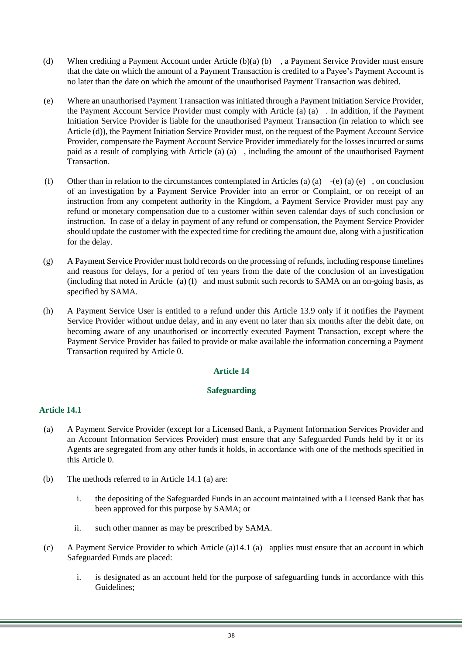- (d) When crediting a Payment Account under Article [\(b\)\(a\)](#page-36-3) (b) , a Payment Service Provider must ensure that the date on which the amount of a Payment Transaction is credited to a Payee's Payment Account is no later than the date on which the amount of the unauthorised Payment Transaction was debited.
- <span id="page-37-2"></span>(e) Where an unauthorised Payment Transaction was initiated through a Payment Initiation Service Provider, the Payment Account Service Provider must comply with Article [\(a\)](#page-36-2) (a) . In addition, if the Payment Initiation Service Provider is liable for the unauthorised Payment Transaction (in relation to which see Article [\(d\)\)](#page-33-3), the Payment Initiation Service Provider must, on the request of the Payment Account Service Provider, compensate the Payment Account Service Provider immediately for the losses incurred or sums paid as a result of complying with Article [\(a\)](#page-36-2) (a) , including the amount of the unauthorised Payment Transaction.
- (f) Other than in relation to the circumstances contemplated in Articles [\(a\)](#page-36-2) [\(a\)](#page-36-2)  $-(e)$  (a) (e), on conclusion of an investigation by a Payment Service Provider into an error or Complaint, or on receipt of an instruction from any competent authority in the Kingdom, a Payment Service Provider must pay any refund or monetary compensation due to a customer within seven calendar days of such conclusion or instruction. In case of a delay in payment of any refund or compensation, the Payment Service Provider should update the customer with the expected time for crediting the amount due, along with a justification for the delay.
- (g) A Payment Service Provider must hold records on the processing of refunds, including response timelines and reasons for delays, for a period of ten years from the date of the conclusion of an investigation (including that noted in Article [\(a\)](#page-36-2) (f) and must submit such records to SAMA on an on-going basis, as specified by SAMA.
- <span id="page-37-1"></span><span id="page-37-0"></span>(h) A Payment Service User is entitled to a refund under this Article 13.9 only if it notifies the Payment Service Provider without undue delay, and in any event no later than six months after the debit date, on becoming aware of any unauthorised or incorrectly executed Payment Transaction, except where the Payment Service Provider has failed to provide or make available the information concerning a Payment Transaction required by Article [0.](#page-27-2)

# **Safeguarding**

- <span id="page-37-3"></span>(a) A Payment Service Provider (except for a Licensed Bank, a Payment Information Services Provider and an Account Information Services Provider) must ensure that any Safeguarded Funds held by it or its Agents are segregated from any other funds it holds, in accordance with one of the methods specified in this Article [0.](#page-37-0)
- (b) The methods referred to in Article 14.1 (a) are:
	- i. the depositing of the Safeguarded Funds in an account maintained with a Licensed Bank that has been approved for this purpose by SAMA; or
	- ii. such other manner as may be prescribed by SAMA.
- <span id="page-37-4"></span>(c) A Payment Service Provider to which Article [\(a\)1](#page-37-3)4.1 (a) applies must ensure that an account in which Safeguarded Funds are placed:
	- i. is designated as an account held for the purpose of safeguarding funds in accordance with this Guidelines;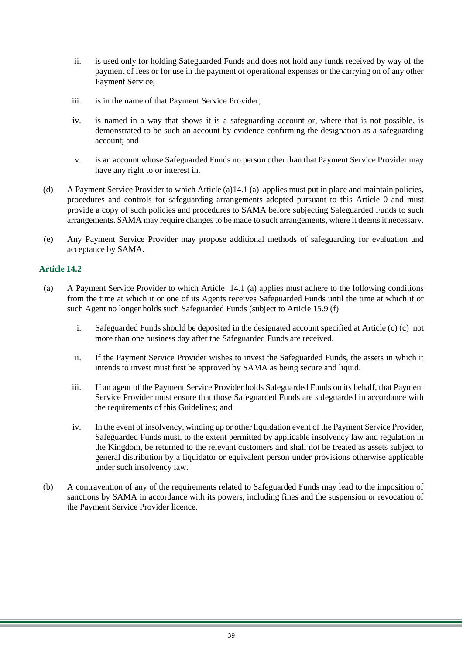- ii. is used only for holding Safeguarded Funds and does not hold any funds received by way of the payment of fees or for use in the payment of operational expenses or the carrying on of any other Payment Service;
- iii. is in the name of that Payment Service Provider;
- iv. is named in a way that shows it is a safeguarding account or, where that is not possible, is demonstrated to be such an account by evidence confirming the designation as a safeguarding account; and
- v. is an account whose Safeguarded Funds no person other than that Payment Service Provider may have any right to or interest in.
- (d) A Payment Service Provider to which Article [\(a\)1](#page-37-3)4.1 (a) applies must put in place and maintain policies, procedures and controls for safeguarding arrangements adopted pursuant to this Article [0](#page-37-0) and must provide a copy of such policies and procedures to SAMA before subjecting Safeguarded Funds to such arrangements. SAMA may require changes to be made to such arrangements, where it deems it necessary.
- (e) Any Payment Service Provider may propose additional methods of safeguarding for evaluation and acceptance by SAMA.

- (a) A Payment Service Provider to which Article 14.1 (a) applies must adhere to the following conditions from the time at which it or one of its Agents receives Safeguarded Funds until the time at which it or such Agent no longer holds such Safeguarded Funds (subject to Article 15.9 (f)
	- i. Safeguarded Funds should be deposited in the designated account specified at Article [\(c\)](#page-37-4) (c) not more than one business day after the Safeguarded Funds are received.
	- ii. If the Payment Service Provider wishes to invest the Safeguarded Funds, the assets in which it intends to invest must first be approved by SAMA as being secure and liquid.
	- iii. If an agent of the Payment Service Provider holds Safeguarded Funds on its behalf, that Payment Service Provider must ensure that those Safeguarded Funds are safeguarded in accordance with the requirements of this Guidelines; and
	- iv. In the event of insolvency, winding up or other liquidation event of the Payment Service Provider, Safeguarded Funds must, to the extent permitted by applicable insolvency law and regulation in the Kingdom, be returned to the relevant customers and shall not be treated as assets subject to general distribution by a liquidator or equivalent person under provisions otherwise applicable under such insolvency law.
- (b) A contravention of any of the requirements related to Safeguarded Funds may lead to the imposition of sanctions by SAMA in accordance with its powers, including fines and the suspension or revocation of the Payment Service Provider licence.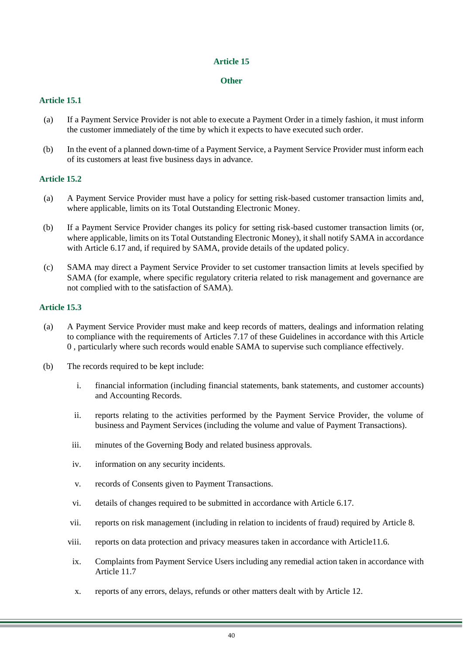## **Other**

# <span id="page-39-1"></span>**Article 15.1**

- (a) If a Payment Service Provider is not able to execute a Payment Order in a timely fashion, it must inform the customer immediately of the time by which it expects to have executed such order.
- (b) In the event of a planned down-time of a Payment Service, a Payment Service Provider must inform each of its customers at least five business days in advance.

# <span id="page-39-2"></span>**Article 15.2**

- (a) A Payment Service Provider must have a policy for setting risk-based customer transaction limits and, where applicable, limits on its Total Outstanding Electronic Money.
- (b) If a Payment Service Provider changes its policy for setting risk-based customer transaction limits (or, where applicable, limits on its Total Outstanding Electronic Money), it shall notify SAMA in accordance with Article 6.17 and, if required by SAMA, provide details of the updated policy.
- (c) SAMA may direct a Payment Service Provider to set customer transaction limits at levels specified by SAMA (for example, where specific regulatory criteria related to risk management and governance are not complied with to the satisfaction of SAMA).

- <span id="page-39-0"></span>(a) A Payment Service Provider must make and keep records of matters, dealings and information relating to compliance with the requirements of Articles 7.17 of these Guidelines in accordance with this Article [0](#page-39-0) , particularly where such records would enable SAMA to supervise such compliance effectively.
- (b) The records required to be kept include:
	- i. financial information (including financial statements, bank statements, and customer accounts) and Accounting Records.
	- ii. reports relating to the activities performed by the Payment Service Provider, the volume of business and Payment Services (including the volume and value of Payment Transactions).
	- iii. minutes of the Governing Body and related business approvals.
	- iv. information on any security incidents.
	- v. records of Consents given to Payment Transactions.
	- vi. details of changes required to be submitted in accordance with Article 6.17.
	- vii. reports on risk management (including in relation to incidents of fraud) required by Article 8.
	- viii. reports on data protection and privacy measures taken in accordance with Article11.6.
	- ix. Complaints from Payment Service Users including any remedial action taken in accordance with Article 11.7
	- x. reports of any errors, delays, refunds or other matters dealt with by Article 12.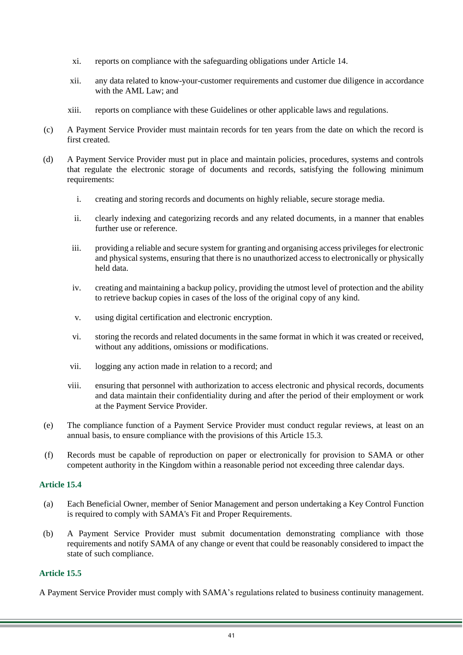- xi. reports on compliance with the safeguarding obligations under Article 14.
- xii. any data related to know-your-customer requirements and customer due diligence in accordance with the AML Law; and
- xiii. reports on compliance with these Guidelines or other applicable laws and regulations.
- (c) A Payment Service Provider must maintain records for ten years from the date on which the record is first created.
- (d) A Payment Service Provider must put in place and maintain policies, procedures, systems and controls that regulate the electronic storage of documents and records, satisfying the following minimum requirements:
	- i. creating and storing records and documents on highly reliable, secure storage media.
	- ii. clearly indexing and categorizing records and any related documents, in a manner that enables further use or reference.
	- iii. providing a reliable and secure system for granting and organising access privileges for electronic and physical systems, ensuring that there is no unauthorized access to electronically or physically held data.
	- iv. creating and maintaining a backup policy, providing the utmost level of protection and the ability to retrieve backup copies in cases of the loss of the original copy of any kind.
	- v. using digital certification and electronic encryption.
	- vi. storing the records and related documents in the same format in which it was created or received, without any additions, omissions or modifications.
	- vii. logging any action made in relation to a record; and
	- viii. ensuring that personnel with authorization to access electronic and physical records, documents and data maintain their confidentiality during and after the period of their employment or work at the Payment Service Provider.
- (e) The compliance function of a Payment Service Provider must conduct regular reviews, at least on an annual basis, to ensure compliance with the provisions of this Article 15.3.
- (f) Records must be capable of reproduction on paper or electronically for provision to SAMA or other competent authority in the Kingdom within a reasonable period not exceeding three calendar days.

- (a) Each Beneficial Owner, member of Senior Management and person undertaking a Key Control Function is required to comply with SAMA's Fit and Proper Requirements.
- (b) A Payment Service Provider must submit documentation demonstrating compliance with those requirements and notify SAMA of any change or event that could be reasonably considered to impact the state of such compliance.

# **Article 15.5**

A Payment Service Provider must comply with SAMA's regulations related to business continuity management.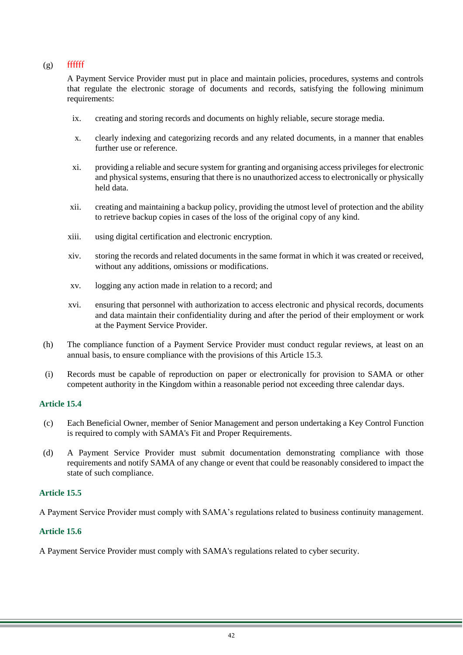# $(g)$  fffffff

A Payment Service Provider must put in place and maintain policies, procedures, systems and controls that regulate the electronic storage of documents and records, satisfying the following minimum requirements:

- ix. creating and storing records and documents on highly reliable, secure storage media.
- x. clearly indexing and categorizing records and any related documents, in a manner that enables further use or reference.
- xi. providing a reliable and secure system for granting and organising access privileges for electronic and physical systems, ensuring that there is no unauthorized access to electronically or physically held data.
- xii. creating and maintaining a backup policy, providing the utmost level of protection and the ability to retrieve backup copies in cases of the loss of the original copy of any kind.
- xiii. using digital certification and electronic encryption.
- xiv. storing the records and related documents in the same format in which it was created or received, without any additions, omissions or modifications.
- xv. logging any action made in relation to a record; and
- xvi. ensuring that personnel with authorization to access electronic and physical records, documents and data maintain their confidentiality during and after the period of their employment or work at the Payment Service Provider.
- (h) The compliance function of a Payment Service Provider must conduct regular reviews, at least on an annual basis, to ensure compliance with the provisions of this Article 15.3.
- (i) Records must be capable of reproduction on paper or electronically for provision to SAMA or other competent authority in the Kingdom within a reasonable period not exceeding three calendar days.

# **Article 15.4**

- (c) Each Beneficial Owner, member of Senior Management and person undertaking a Key Control Function is required to comply with SAMA's Fit and Proper Requirements.
- (d) A Payment Service Provider must submit documentation demonstrating compliance with those requirements and notify SAMA of any change or event that could be reasonably considered to impact the state of such compliance.

# **Article 15.5**

A Payment Service Provider must comply with SAMA's regulations related to business continuity management.

# **Article 15.6**

A Payment Service Provider must comply with SAMA's regulations related to cyber security.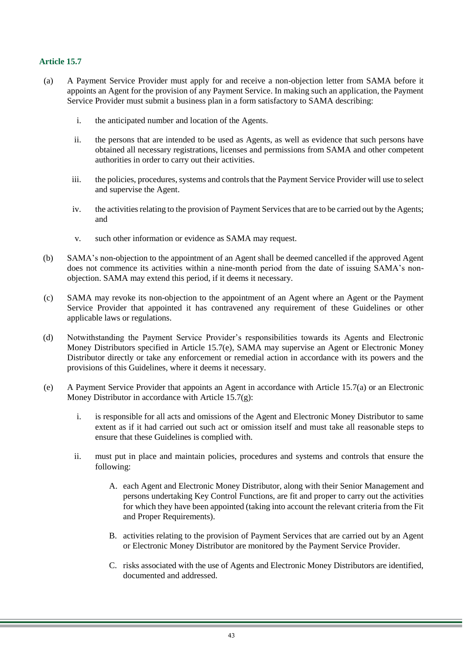- <span id="page-42-0"></span>(a) A Payment Service Provider must apply for and receive a non-objection letter from SAMA before it appoints an Agent for the provision of any Payment Service. In making such an application, the Payment Service Provider must submit a business plan in a form satisfactory to SAMA describing:
	- i. the anticipated number and location of the Agents.
	- ii. the persons that are intended to be used as Agents, as well as evidence that such persons have obtained all necessary registrations, licenses and permissions from SAMA and other competent authorities in order to carry out their activities.
	- iii. the policies, procedures, systems and controls that the Payment Service Provider will use to select and supervise the Agent.
	- iv. the activities relating to the provision of Payment Services that are to be carried out by the Agents; and
	- v. such other information or evidence as SAMA may request.
- (b) SAMA's non-objection to the appointment of an Agent shall be deemed cancelled if the approved Agent does not commence its activities within a nine-month period from the date of issuing SAMA's nonobjection. SAMA may extend this period, if it deems it necessary.
- (c) SAMA may revoke its non-objection to the appointment of an Agent where an Agent or the Payment Service Provider that appointed it has contravened any requirement of these Guidelines or other applicable laws or regulations.
- (d) Notwithstanding the Payment Service Provider's responsibilities towards its Agents and Electronic Money Distributors specified in Article 15.7(e), SAMA may supervise an Agent or Electronic Money Distributor directly or take any enforcement or remedial action in accordance with its powers and the provisions of this Guidelines, where it deems it necessary.
- (e) A Payment Service Provider that appoints an Agent in accordance with Article 15.7(a) or an Electronic Money Distributor in accordance with Article 15.7(g):
	- i. is responsible for all acts and omissions of the Agent and Electronic Money Distributor to same extent as if it had carried out such act or omission itself and must take all reasonable steps to ensure that these Guidelines is complied with.
	- ii. must put in place and maintain policies, procedures and systems and controls that ensure the following:
		- A. each Agent and Electronic Money Distributor, along with their Senior Management and persons undertaking Key Control Functions, are fit and proper to carry out the activities for which they have been appointed (taking into account the relevant criteria from the Fit and Proper Requirements).
		- B. activities relating to the provision of Payment Services that are carried out by an Agent or Electronic Money Distributor are monitored by the Payment Service Provider.
		- C. risks associated with the use of Agents and Electronic Money Distributors are identified, documented and addressed.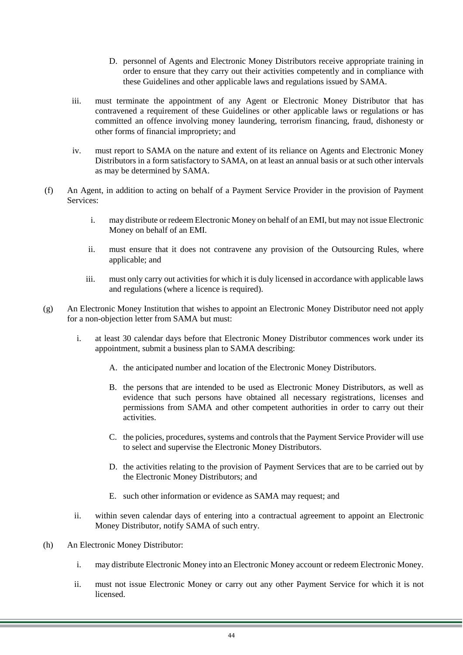- D. personnel of Agents and Electronic Money Distributors receive appropriate training in order to ensure that they carry out their activities competently and in compliance with these Guidelines and other applicable laws and regulations issued by SAMA.
- iii. must terminate the appointment of any Agent or Electronic Money Distributor that has contravened a requirement of these Guidelines or other applicable laws or regulations or has committed an offence involving money laundering, terrorism financing, fraud, dishonesty or other forms of financial impropriety; and
- iv. must report to SAMA on the nature and extent of its reliance on Agents and Electronic Money Distributors in a form satisfactory to SAMA, on at least an annual basis or at such other intervals as may be determined by SAMA.
- (f) An Agent, in addition to acting on behalf of a Payment Service Provider in the provision of Payment Services:
	- i. may distribute or redeem Electronic Money on behalf of an EMI, but may not issue Electronic Money on behalf of an EMI.
	- ii. must ensure that it does not contravene any provision of the Outsourcing Rules, where applicable; and
	- iii. must only carry out activities for which it is duly licensed in accordance with applicable laws and regulations (where a licence is required).
- (g) An Electronic Money Institution that wishes to appoint an Electronic Money Distributor need not apply for a non-objection letter from SAMA but must:
	- i. at least 30 calendar days before that Electronic Money Distributor commences work under its appointment, submit a business plan to SAMA describing:
		- A. the anticipated number and location of the Electronic Money Distributors.
		- B. the persons that are intended to be used as Electronic Money Distributors, as well as evidence that such persons have obtained all necessary registrations, licenses and permissions from SAMA and other competent authorities in order to carry out their activities.
		- C. the policies, procedures, systems and controls that the Payment Service Provider will use to select and supervise the Electronic Money Distributors.
		- D. the activities relating to the provision of Payment Services that are to be carried out by the Electronic Money Distributors; and
		- E. such other information or evidence as SAMA may request; and
	- ii. within seven calendar days of entering into a contractual agreement to appoint an Electronic Money Distributor, notify SAMA of such entry.
- (h) An Electronic Money Distributor:
	- i. may distribute Electronic Money into an Electronic Money account or redeem Electronic Money.
	- ii. must not issue Electronic Money or carry out any other Payment Service for which it is not licensed.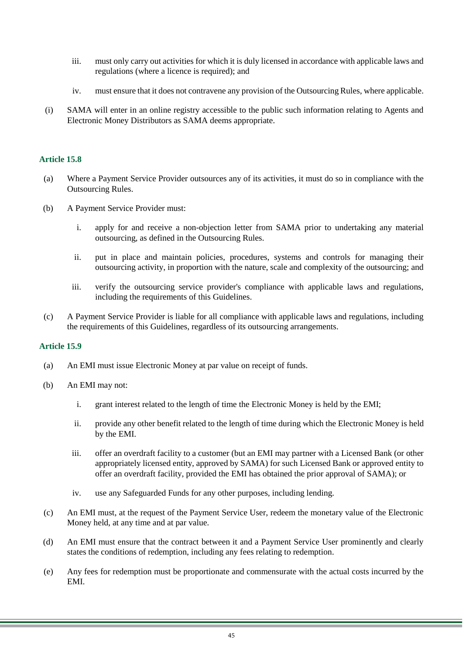- iii. must only carry out activities for which it is duly licensed in accordance with applicable laws and regulations (where a licence is required); and
- iv. must ensure that it does not contravene any provision of the Outsourcing Rules, where applicable.
- (i) SAMA will enter in an online registry accessible to the public such information relating to Agents and Electronic Money Distributors as SAMA deems appropriate.

- (a) Where a Payment Service Provider outsources any of its activities, it must do so in compliance with the Outsourcing Rules.
- (b) A Payment Service Provider must:
	- i. apply for and receive a non-objection letter from SAMA prior to undertaking any material outsourcing, as defined in the Outsourcing Rules.
	- ii. put in place and maintain policies, procedures, systems and controls for managing their outsourcing activity, in proportion with the nature, scale and complexity of the outsourcing; and
	- iii. verify the outsourcing service provider's compliance with applicable laws and regulations, including the requirements of this Guidelines.
- (c) A Payment Service Provider is liable for all compliance with applicable laws and regulations, including the requirements of this Guidelines, regardless of its outsourcing arrangements.

- (a) An EMI must issue Electronic Money at par value on receipt of funds.
- (b) An EMI may not:
	- i. grant interest related to the length of time the Electronic Money is held by the EMI;
	- ii. provide any other benefit related to the length of time during which the Electronic Money is held by the EMI.
	- iii. offer an overdraft facility to a customer (but an EMI may partner with a Licensed Bank (or other appropriately licensed entity, approved by SAMA) for such Licensed Bank or approved entity to offer an overdraft facility, provided the EMI has obtained the prior approval of SAMA); or
	- iv. use any Safeguarded Funds for any other purposes, including lending.
- (c) An EMI must, at the request of the Payment Service User, redeem the monetary value of the Electronic Money held, at any time and at par value.
- (d) An EMI must ensure that the contract between it and a Payment Service User prominently and clearly states the conditions of redemption, including any fees relating to redemption.
- (e) Any fees for redemption must be proportionate and commensurate with the actual costs incurred by the EMI.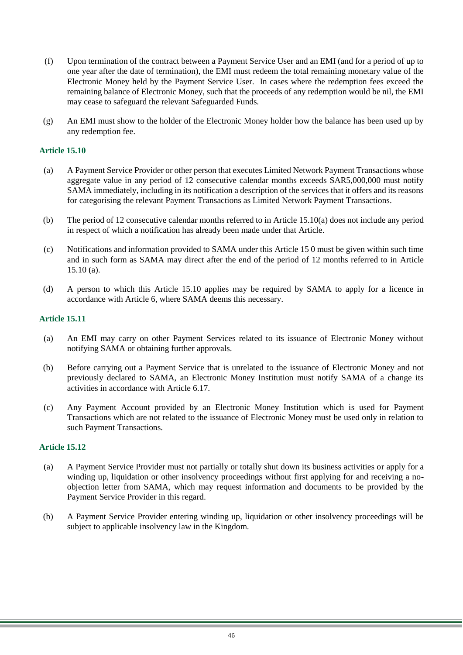- (f) Upon termination of the contract between a Payment Service User and an EMI (and for a period of up to one year after the date of termination), the EMI must redeem the total remaining monetary value of the Electronic Money held by the Payment Service User. In cases where the redemption fees exceed the remaining balance of Electronic Money, such that the proceeds of any redemption would be nil, the EMI may cease to safeguard the relevant Safeguarded Funds.
- (g) An EMI must show to the holder of the Electronic Money holder how the balance has been used up by any redemption fee.

- (a) A Payment Service Provider or other person that executes Limited Network Payment Transactions whose aggregate value in any period of 12 consecutive calendar months exceeds SAR5,000,000 must notify SAMA immediately, including in its notification a description of the services that it offers and its reasons for categorising the relevant Payment Transactions as Limited Network Payment Transactions.
- (b) The period of 12 consecutive calendar months referred to in Article 15.10(a) does not include any period in respect of which a notification has already been made under that Article.
- (c) Notifications and information provided to SAMA under this Article 1[5 0](#page-39-1) must be given within such time and in such form as SAMA may direct after the end of the period of 12 months referred to in Article  $15.10$  (a).
- (d) A person to which this Article 15.10 applies may be required by SAMA to apply for a licence in accordance with Article 6, where SAMA deems this necessary.

# **Article 15.11**

- (a) An EMI may carry on other Payment Services related to its issuance of Electronic Money without notifying SAMA or obtaining further approvals.
- (b) Before carrying out a Payment Service that is unrelated to the issuance of Electronic Money and not previously declared to SAMA, an Electronic Money Institution must notify SAMA of a change its activities in accordance with Article 6.17.
- (c) Any Payment Account provided by an Electronic Money Institution which is used for Payment Transactions which are not related to the issuance of Electronic Money must be used only in relation to such Payment Transactions.

- (a) A Payment Service Provider must not partially or totally shut down its business activities or apply for a winding up, liquidation or other insolvency proceedings without first applying for and receiving a noobjection letter from SAMA, which may request information and documents to be provided by the Payment Service Provider in this regard.
- (b) A Payment Service Provider entering winding up, liquidation or other insolvency proceedings will be subject to applicable insolvency law in the Kingdom.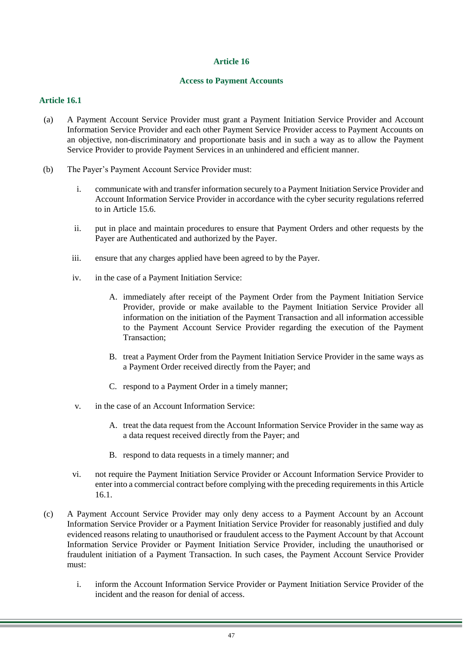## **Access to Payment Accounts**

- <span id="page-46-0"></span>(a) A Payment Account Service Provider must grant a Payment Initiation Service Provider and Account Information Service Provider and each other Payment Service Provider access to Payment Accounts on an objective, non-discriminatory and proportionate basis and in such a way as to allow the Payment Service Provider to provide Payment Services in an unhindered and efficient manner.
- (b) The Payer's Payment Account Service Provider must:
	- i. communicate with and transfer information securely to a Payment Initiation Service Provider and Account Information Service Provider in accordance with the cyber security regulations referred to in Article 15.6.
	- ii. put in place and maintain procedures to ensure that Payment Orders and other requests by the Payer are Authenticated and authorized by the Payer.
	- iii. ensure that any charges applied have been agreed to by the Payer.
	- iv. in the case of a Payment Initiation Service:
		- A. immediately after receipt of the Payment Order from the Payment Initiation Service Provider, provide or make available to the Payment Initiation Service Provider all information on the initiation of the Payment Transaction and all information accessible to the Payment Account Service Provider regarding the execution of the Payment Transaction;
		- B. treat a Payment Order from the Payment Initiation Service Provider in the same ways as a Payment Order received directly from the Payer; and
		- C. respond to a Payment Order in a timely manner;
	- v. in the case of an Account Information Service:
		- A. treat the data request from the Account Information Service Provider in the same way as a data request received directly from the Payer; and
		- B. respond to data requests in a timely manner; and
	- vi. not require the Payment Initiation Service Provider or Account Information Service Provider to enter into a commercial contract before complying with the preceding requirements in this Article 16.1.
- (c) A Payment Account Service Provider may only deny access to a Payment Account by an Account Information Service Provider or a Payment Initiation Service Provider for reasonably justified and duly evidenced reasons relating to unauthorised or fraudulent access to the Payment Account by that Account Information Service Provider or Payment Initiation Service Provider, including the unauthorised or fraudulent initiation of a Payment Transaction. In such cases, the Payment Account Service Provider must:
	- i. inform the Account Information Service Provider or Payment Initiation Service Provider of the incident and the reason for denial of access.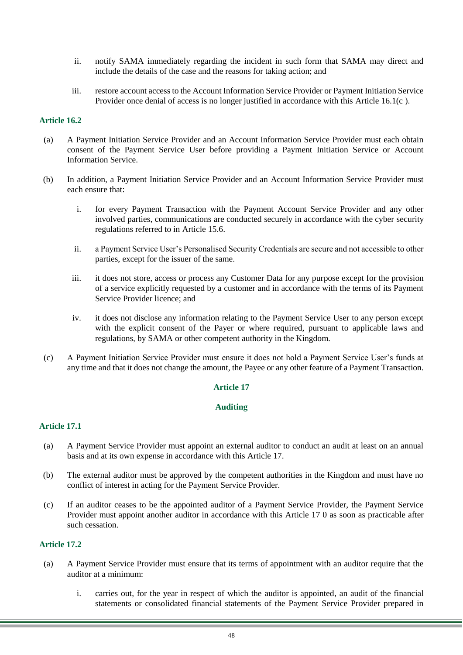- ii. notify SAMA immediately regarding the incident in such form that SAMA may direct and include the details of the case and the reasons for taking action; and
- iii. restore account access to the Account Information Service Provider or Payment Initiation Service Provider once denial of access is no longer justified in accordance with this Article 16.1(c ).

- (a) A Payment Initiation Service Provider and an Account Information Service Provider must each obtain consent of the Payment Service User before providing a Payment Initiation Service or Account Information Service.
- (b) In addition, a Payment Initiation Service Provider and an Account Information Service Provider must each ensure that:
	- i. for every Payment Transaction with the Payment Account Service Provider and any other involved parties, communications are conducted securely in accordance with the cyber security regulations referred to in Article 15.6.
	- ii. a Payment Service User's Personalised Security Credentials are secure and not accessible to other parties, except for the issuer of the same.
	- iii. it does not store, access or process any Customer Data for any purpose except for the provision of a service explicitly requested by a customer and in accordance with the terms of its Payment Service Provider licence; and
	- iv. it does not disclose any information relating to the Payment Service User to any person except with the explicit consent of the Payer or where required, pursuant to applicable laws and regulations, by SAMA or other competent authority in the Kingdom.
- <span id="page-47-0"></span>(c) A Payment Initiation Service Provider must ensure it does not hold a Payment Service User's funds at any time and that it does not change the amount, the Payee or any other feature of a Payment Transaction.

#### **Article 17**

#### **Auditing**

#### **Article 17.1**

- (a) A Payment Service Provider must appoint an external auditor to conduct an audit at least on an annual basis and at its own expense in accordance with this Article 17.
- (b) The external auditor must be approved by the competent authorities in the Kingdom and must have no conflict of interest in acting for the Payment Service Provider.
- (c) If an auditor ceases to be the appointed auditor of a Payment Service Provider, the Payment Service Provider must appoint another auditor in accordance with this Article 17 [0](#page-47-0) as soon as practicable after such cessation.

- (a) A Payment Service Provider must ensure that its terms of appointment with an auditor require that the auditor at a minimum:
	- i. carries out, for the year in respect of which the auditor is appointed, an audit of the financial statements or consolidated financial statements of the Payment Service Provider prepared in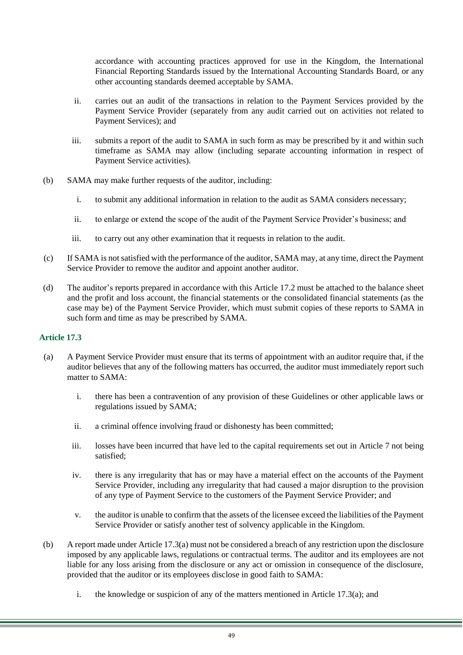accordance with accounting practices approved for use in the Kingdom, the International Financial Reporting Standards issued by the International Accounting Standards Board, or any other accounting standards deemed acceptable by SAMA.

- ii. carries out an audit of the transactions in relation to the Payment Services provided by the Payment Service Provider (separately from any audit carried out on activities not related to Payment Services); and
- iii. submits a report of the audit to SAMA in such form as may be prescribed by it and within such timeframe as SAMA may allow (including separate accounting information in respect of Payment Service activities).
- (b) SAMA may make further requests of the auditor, including:
	- i. to submit any additional information in relation to the audit as SAMA considers necessary;
	- ii. to enlarge or extend the scope of the audit of the Payment Service Provider's business; and
	- iii. to carry out any other examination that it requests in relation to the audit.
- (c) If SAMA is not satisfied with the performance of the auditor, SAMA may, at any time, direct the Payment Service Provider to remove the auditor and appoint another auditor.
- (d) The auditor's reports prepared in accordance with this Article 17.2 must be attached to the balance sheet and the profit and loss account, the financial statements or the consolidated financial statements (as the case may be) of the Payment Service Provider, which must submit copies of these reports to SAMA in such form and time as may be prescribed by SAMA.

- (a) A Payment Service Provider must ensure that its terms of appointment with an auditor require that, if the auditor believes that any of the following matters has occurred, the auditor must immediately report such matter to SAMA:
	- i. there has been a contravention of any provision of these Guidelines or other applicable laws or regulations issued by SAMA;
	- ii. a criminal offence involving fraud or dishonesty has been committed;
	- iii. losses have been incurred that have led to the capital requirements set out in Article 7 not being satisfied;
	- iv. there is any irregularity that has or may have a material effect on the accounts of the Payment Service Provider, including any irregularity that had caused a major disruption to the provision of any type of Payment Service to the customers of the Payment Service Provider; and
	- v. the auditor is unable to confirm that the assets of the licensee exceed the liabilities of the Payment Service Provider or satisfy another test of solvency applicable in the Kingdom.
- (b) A report made under Article 17.3(a) must not be considered a breach of any restriction upon the disclosure imposed by any applicable laws, regulations or contractual terms. The auditor and its employees are not liable for any loss arising from the disclosure or any act or omission in consequence of the disclosure, provided that the auditor or its employees disclose in good faith to SAMA:
	- i. the knowledge or suspicion of any of the matters mentioned in Article 17.3(a); and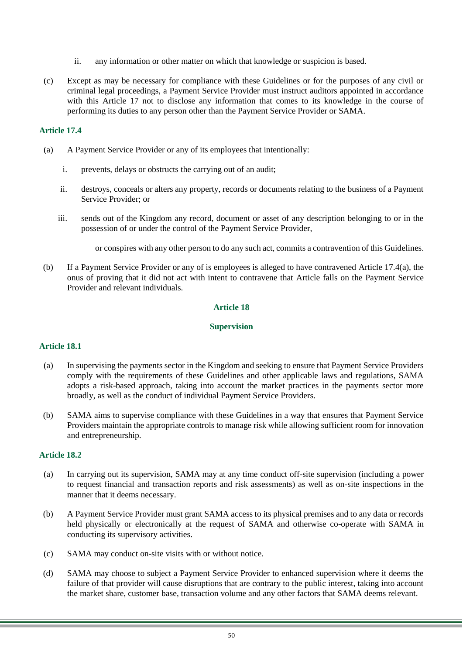- ii. any information or other matter on which that knowledge or suspicion is based.
- (c) Except as may be necessary for compliance with these Guidelines or for the purposes of any civil or criminal legal proceedings, a Payment Service Provider must instruct auditors appointed in accordance with this Article 17 not to disclose any information that comes to its knowledge in the course of performing its duties to any person other than the Payment Service Provider or SAMA.

- (a) A Payment Service Provider or any of its employees that intentionally:
	- i. prevents, delays or obstructs the carrying out of an audit;
	- ii. destroys, conceals or alters any property, records or documents relating to the business of a Payment Service Provider; or
	- iii. sends out of the Kingdom any record, document or asset of any description belonging to or in the possession of or under the control of the Payment Service Provider,

or conspires with any other person to do any such act, commits a contravention of this Guidelines.

(b) If a Payment Service Provider or any of is employees is alleged to have contravened Article 17.4(a), the onus of proving that it did not act with intent to contravene that Article falls on the Payment Service Provider and relevant individuals.

# **Article 18**

## **Supervision**

## **Article 18.1**

- (a) In supervising the payments sector in the Kingdom and seeking to ensure that Payment Service Providers comply with the requirements of these Guidelines and other applicable laws and regulations, SAMA adopts a risk-based approach, taking into account the market practices in the payments sector more broadly, as well as the conduct of individual Payment Service Providers.
- (b) SAMA aims to supervise compliance with these Guidelines in a way that ensures that Payment Service Providers maintain the appropriate controls to manage risk while allowing sufficient room for innovation and entrepreneurship.

- (a) In carrying out its supervision, SAMA may at any time conduct off-site supervision (including a power to request financial and transaction reports and risk assessments) as well as on-site inspections in the manner that it deems necessary.
- (b) A Payment Service Provider must grant SAMA access to its physical premises and to any data or records held physically or electronically at the request of SAMA and otherwise co-operate with SAMA in conducting its supervisory activities.
- (c) SAMA may conduct on-site visits with or without notice.
- (d) SAMA may choose to subject a Payment Service Provider to enhanced supervision where it deems the failure of that provider will cause disruptions that are contrary to the public interest, taking into account the market share, customer base, transaction volume and any other factors that SAMA deems relevant.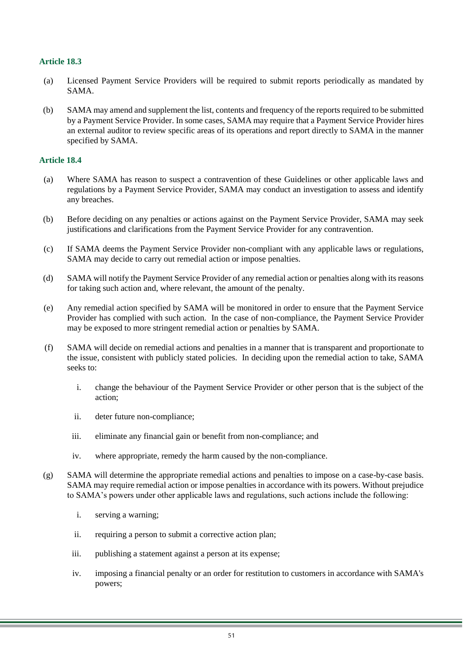- (a) Licensed Payment Service Providers will be required to submit reports periodically as mandated by SAMA.
- (b) SAMA may amend and supplement the list, contents and frequency of the reports required to be submitted by a Payment Service Provider. In some cases, SAMA may require that a Payment Service Provider hires an external auditor to review specific areas of its operations and report directly to SAMA in the manner specified by SAMA.

- (a) Where SAMA has reason to suspect a contravention of these Guidelines or other applicable laws and regulations by a Payment Service Provider, SAMA may conduct an investigation to assess and identify any breaches.
- (b) Before deciding on any penalties or actions against on the Payment Service Provider, SAMA may seek justifications and clarifications from the Payment Service Provider for any contravention.
- (c) If SAMA deems the Payment Service Provider non-compliant with any applicable laws or regulations, SAMA may decide to carry out remedial action or impose penalties.
- (d) SAMA will notify the Payment Service Provider of any remedial action or penalties along with its reasons for taking such action and, where relevant, the amount of the penalty.
- (e) Any remedial action specified by SAMA will be monitored in order to ensure that the Payment Service Provider has complied with such action. In the case of non-compliance, the Payment Service Provider may be exposed to more stringent remedial action or penalties by SAMA.
- (f) SAMA will decide on remedial actions and penalties in a manner that is transparent and proportionate to the issue, consistent with publicly stated policies. In deciding upon the remedial action to take, SAMA seeks to:
	- i. change the behaviour of the Payment Service Provider or other person that is the subject of the action;
	- ii. deter future non-compliance;
	- iii. eliminate any financial gain or benefit from non-compliance; and
	- iv. where appropriate, remedy the harm caused by the non-compliance.
- (g) SAMA will determine the appropriate remedial actions and penalties to impose on a case-by-case basis. SAMA may require remedial action or impose penalties in accordance with its powers. Without prejudice to SAMA's powers under other applicable laws and regulations, such actions include the following:
	- i. serving a warning;
	- ii. requiring a person to submit a corrective action plan;
	- iii. publishing a statement against a person at its expense;
	- iv. imposing a financial penalty or an order for restitution to customers in accordance with SAMA's powers;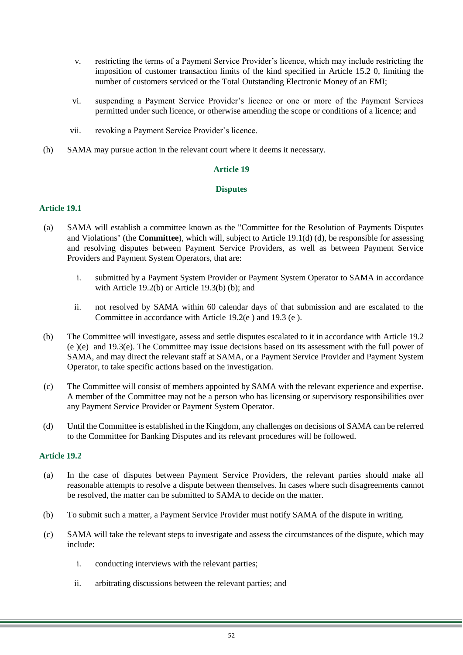- v. restricting the terms of a Payment Service Provider's licence, which may include restricting the imposition of customer transaction limits of the kind specified in Article 15.2 [0,](#page-39-2) limiting the number of customers serviced or the Total Outstanding Electronic Money of an EMI;
- vi. suspending a Payment Service Provider's licence or one or more of the Payment Services permitted under such licence, or otherwise amending the scope or conditions of a licence; and
- vii. revoking a Payment Service Provider's licence.
- <span id="page-51-0"></span>(h) SAMA may pursue action in the relevant court where it deems it necessary.

## **Disputes**

## **Article 19.1**

- (a) SAMA will establish a committee known as the "Committee for the Resolution of Payments Disputes and Violations" (the **Committee**), which will, subject to Article 19.1(d) [\(d\),](#page-51-1) be responsible for assessing and resolving disputes between Payment Service Providers, as well as between Payment Service Providers and Payment System Operators, that are:
	- i. submitted by a Payment System Provider or Payment System Operator to SAMA in accordance with Article 19.2(b) or Article 19.3(b) [\(b\);](#page-52-0) and
	- ii. not resolved by SAMA within 60 calendar days of that submission and are escalated to the Committee in accordance with Article 19.2(e ) and 19.3 (e ).
- (b) The Committee will investigate, assess and settle disputes escalated to it in accordance with Article 19.2 (e [\)\(e\)](#page-52-1) and 19.3(e). The Committee may issue decisions based on its assessment with the full power of SAMA, and may direct the relevant staff at SAMA, or a Payment Service Provider and Payment System Operator, to take specific actions based on the investigation.
- (c) The Committee will consist of members appointed by SAMA with the relevant experience and expertise. A member of the Committee may not be a person who has licensing or supervisory responsibilities over any Payment Service Provider or Payment System Operator.
- <span id="page-51-1"></span>(d) Until the Committee is established in the Kingdom, any challenges on decisions of SAMA can be referred to the Committee for Banking Disputes and its relevant procedures will be followed.

- (a) In the case of disputes between Payment Service Providers, the relevant parties should make all reasonable attempts to resolve a dispute between themselves. In cases where such disagreements cannot be resolved, the matter can be submitted to SAMA to decide on the matter.
- (b) To submit such a matter, a Payment Service Provider must notify SAMA of the dispute in writing.
- (c) SAMA will take the relevant steps to investigate and assess the circumstances of the dispute, which may include:
	- i. conducting interviews with the relevant parties;
	- ii. arbitrating discussions between the relevant parties; and